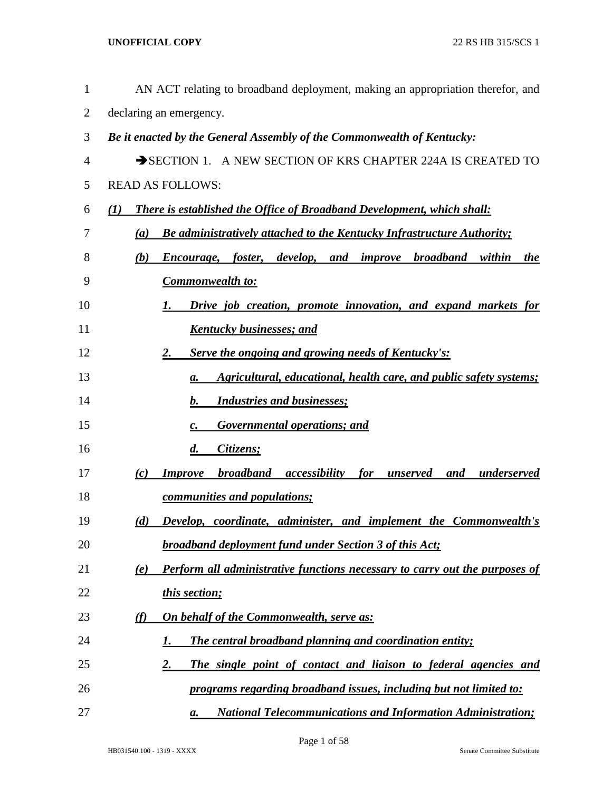| $\mathbf{1}$   | AN ACT relating to broadband deployment, making an appropriation therefor, and                      |
|----------------|-----------------------------------------------------------------------------------------------------|
| $\overline{2}$ | declaring an emergency.                                                                             |
| 3              | Be it enacted by the General Assembly of the Commonwealth of Kentucky:                              |
| 4              | SECTION 1. A NEW SECTION OF KRS CHAPTER 224A IS CREATED TO                                          |
| 5              | <b>READ AS FOLLOWS:</b>                                                                             |
| 6              | <b>There is established the Office of Broadband Development, which shall:</b><br>$\mathcal{L}(I)$   |
| 7              | <b>Be administratively attached to the Kentucky Infrastructure Authority;</b><br>(a)                |
| 8              | foster, develop, and improve broadband<br>(b)<br>within<br>Encourage,<br>the                        |
| 9              | <b>Commonwealth to:</b>                                                                             |
| 10             | Drive job creation, promote innovation, and expand markets for<br>1.                                |
| 11             | <b>Kentucky businesses; and</b>                                                                     |
| 12             | Serve the ongoing and growing needs of Kentucky's:<br>2.                                            |
| 13             | Agricultural, educational, health care, and public safety systems;<br>а.                            |
| 14             | <b>Industries and businesses;</b><br>$\mathbf{b}$ .                                                 |
| 15             | <b>Governmental operations; and</b><br>$\boldsymbol{c}$ .                                           |
| 16             | $\boldsymbol{d}$ .<br>Citizens;                                                                     |
| 17             | <b>broadband</b><br><b>Improve</b><br>accessibility<br>for<br>underserved<br>(c)<br>unserved<br>and |
| 18             | communities and populations;                                                                        |
| 19             | (d)<br><b>Develop, coordinate, administer, and implement the Commonwealth's</b>                     |
| 20             | <b>broadband deployment fund under Section 3 of this Act;</b>                                       |
| 21             | Perform all administrative functions necessary to carry out the purposes of<br>(e)                  |
| 22             | this section;                                                                                       |
| 23             | <b>On behalf of the Commonwealth, serve as:</b><br><u>(f)</u>                                       |
| 24             | <b>The central broadband planning and coordination entity;</b><br>1.                                |
| 25             | $\overline{2}$ .<br>The single point of contact and liaison to federal agencies and                 |
| 26             | programs regarding broadband issues, including but not limited to:                                  |
| 27             | <b>National Telecommunications and Information Administration;</b><br>а.                            |

Page 1 of 58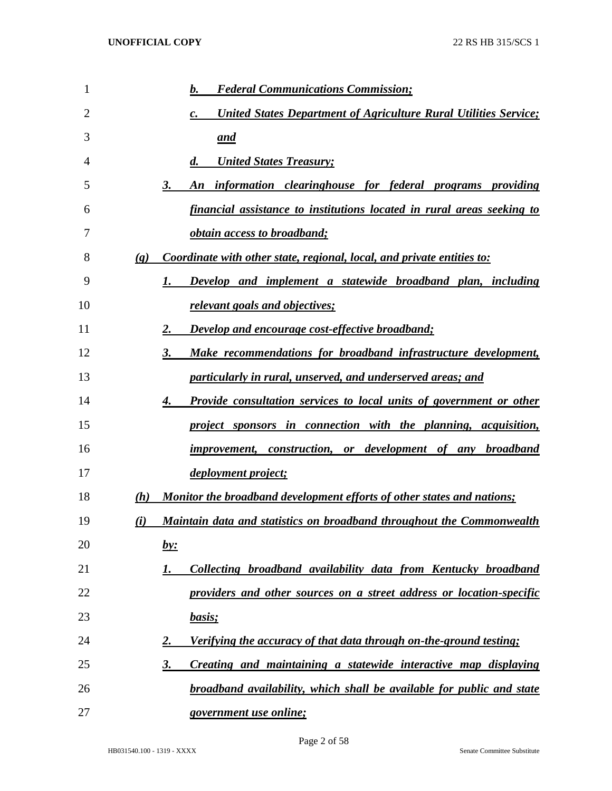| 1  |                             | <b>Federal Communications Commission;</b><br>b.                                  |
|----|-----------------------------|----------------------------------------------------------------------------------|
| 2  |                             | <b>United States Department of Agriculture Rural Utilities Service;</b><br>c.    |
| 3  |                             | and                                                                              |
| 4  |                             | <b>United States Treasury;</b><br>$\boldsymbol{d}$ .                             |
| 5  |                             | information clearinghouse for federal programs providing<br>3.<br>An             |
| 6  |                             | financial assistance to institutions located in rural areas seeking to           |
| 7  |                             | <i><u><b>obtain access to broadband;</b></u></i>                                 |
| 8  | $\left( \mathbf{g} \right)$ | Coordinate with other state, regional, local, and private entities to:           |
| 9  |                             | Develop and implement a statewide broadband plan, including<br>1.                |
| 10 |                             | relevant goals and objectives;                                                   |
| 11 |                             | Develop and encourage cost-effective broadband;<br>2.                            |
| 12 |                             | Make recommendations for broadband infrastructure development,<br>3.             |
| 13 |                             | particularly in rural, unserved, and underserved areas; and                      |
| 14 |                             | <b>Provide consultation services to local units of government or other</b><br>4. |
| 15 |                             | project sponsors in connection with the planning, acquisition,                   |
| 16 |                             | improvement, construction, or development of any broadband                       |
| 17 |                             | <i>deployment project;</i>                                                       |
| 18 | (h)                         | Monitor the broadband development efforts of other states and nations;           |
| 19 | (i)                         | Maintain data and statistics on broadband throughout the Commonwealth            |
| 20 |                             | <u>by:</u>                                                                       |
| 21 |                             | Collecting broadband availability data from Kentucky broadband<br>1.             |
| 22 |                             | providers and other sources on a street address or location-specific             |
| 23 |                             | basis;                                                                           |
| 24 |                             | Verifying the accuracy of that data through on-the-ground testing;<br>2.         |
| 25 |                             | Creating and maintaining a statewide interactive map displaying<br>3.            |
| 26 |                             | <b>broadband availability, which shall be available for public and state</b>     |
| 27 |                             | <i>government use online;</i>                                                    |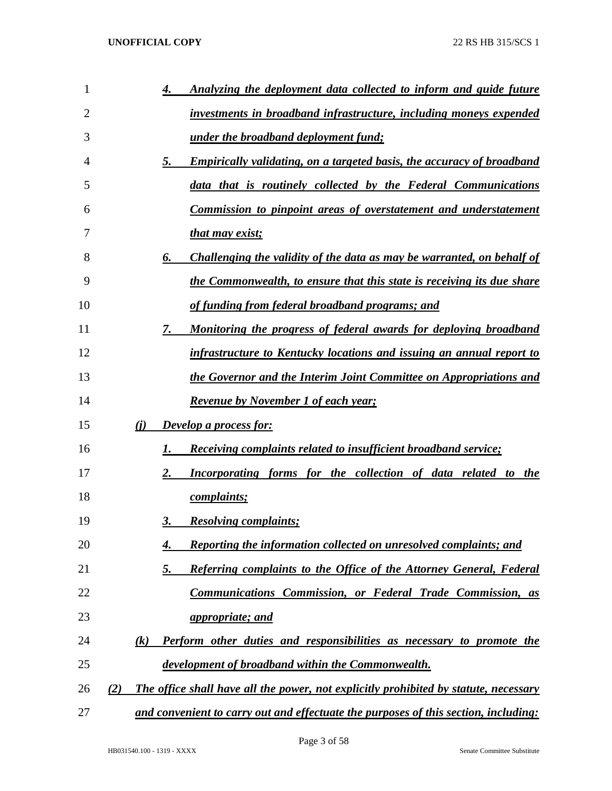| 1  | Analyzing the deployment data collected to inform and guide future<br>4.                          |
|----|---------------------------------------------------------------------------------------------------|
| 2  | investments in broadband infrastructure, including moneys expended                                |
| 3  | under the broadband deployment fund;                                                              |
| 4  | 5.<br><b>Empirically validating, on a targeted basis, the accuracy of broadband</b>               |
| 5  | data that is routinely collected by the Federal Communications                                    |
| 6  | Commission to pinpoint areas of overstatement and understatement                                  |
| 7  | that may exist;                                                                                   |
| 8  | Challenging the validity of the data as may be warranted, on behalf of<br>6.                      |
| 9  | the Commonwealth, to ensure that this state is receiving its due share                            |
| 10 | of funding from federal broadband programs; and                                                   |
| 11 | Monitoring the progress of federal awards for deploying broadband<br>7.                           |
| 12 | infrastructure to Kentucky locations and issuing an annual report to                              |
| 13 | the Governor and the Interim Joint Committee on Appropriations and                                |
| 14 | <b>Revenue by November 1 of each year;</b>                                                        |
| 15 | (i)<br><b>Develop a process for:</b>                                                              |
| 16 | <b>Receiving complaints related to insufficient broadband service;</b><br>1.                      |
| 17 | 2.<br>Incorporating forms for the collection of data related to the                               |
| 18 | <i>complaints;</i>                                                                                |
| 19 | <b>Resolving complaints;</b><br>3.                                                                |
| 20 | <b>Reporting the information collected on unresolved complaints; and</b><br>4.                    |
| 21 | 5.<br><b>Referring complaints to the Office of the Attorney General, Federal</b>                  |
| 22 | <b>Communications Commission, or Federal Trade Commission, as</b>                                 |
| 23 | <i>appropriate; and</i>                                                                           |
| 24 | $\left( k\right)$<br><b>Perform other duties and responsibilities as necessary to promote the</b> |
| 25 | development of broadband within the Commonwealth.                                                 |
| 26 | The office shall have all the power, not explicitly prohibited by statute, necessary<br>(2)       |
| 27 | and convenient to carry out and effectuate the purposes of this section, including:               |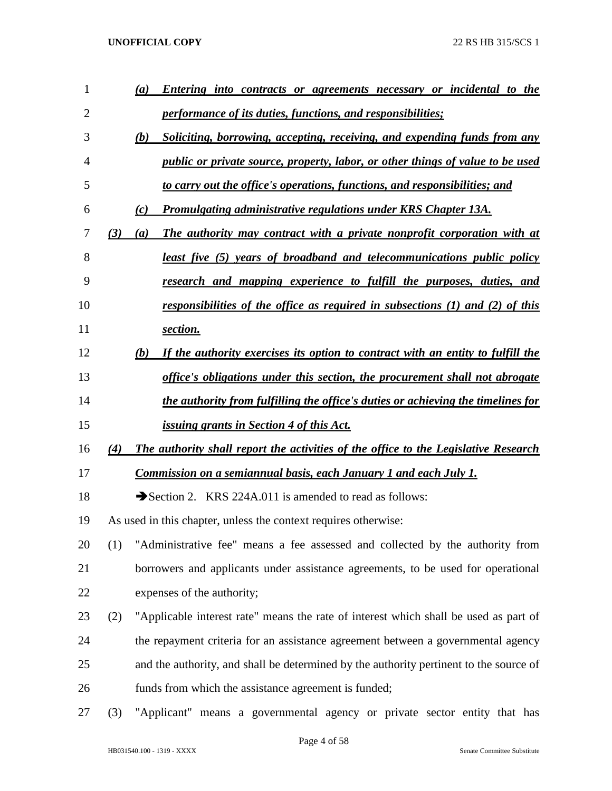| 1              |     | Entering into contracts or agreements necessary or incidental to the<br>(a)            |
|----------------|-----|----------------------------------------------------------------------------------------|
| $\overline{2}$ |     | <i>performance of its duties, functions, and responsibilities;</i>                     |
| 3              |     | Soliciting, borrowing, accepting, receiving, and expending funds from any<br>(b)       |
| $\overline{4}$ |     | <i>public or private source, property, labor, or other things of value to be used</i>  |
| 5              |     | to carry out the office's operations, functions, and responsibilities; and             |
| 6              |     | Promulgating administrative regulations under KRS Chapter 13A.<br>(c)                  |
| 7              | (3) | The authority may contract with a private nonprofit corporation with at<br>(a)         |
| 8              |     | <u>least five (5) years of broadband and telecommunications public policy</u>          |
| 9              |     | research and mapping experience to fulfill the purposes, duties, and                   |
| 10             |     | <u>responsibilities of the office as required in subsections (1) and (2) of this</u>   |
| 11             |     | section.                                                                               |
| 12             |     | If the authority exercises its option to contract with an entity to fulfill the<br>(b) |
| 13             |     | office's obligations under this section, the procurement shall not abrogate            |
| 14             |     | the authority from fulfilling the office's duties or achieving the timelines for       |
| 15             |     | <i>issuing grants in Section 4 of this Act.</i>                                        |
| 16             | (4) | The authority shall report the activities of the office to the Legislative Research    |
| 17             |     | Commission on a semiannual basis, each January 1 and each July 1.                      |
| 18             |     | Section 2. KRS 224A.011 is amended to read as follows:                                 |
| 19             |     | As used in this chapter, unless the context requires otherwise:                        |
| 20             | (1) | "Administrative fee" means a fee assessed and collected by the authority from          |
| 21             |     | borrowers and applicants under assistance agreements, to be used for operational       |
| 22             |     | expenses of the authority;                                                             |
| 23             | (2) | "Applicable interest rate" means the rate of interest which shall be used as part of   |
| 24             |     | the repayment criteria for an assistance agreement between a governmental agency       |
| 25             |     | and the authority, and shall be determined by the authority pertinent to the source of |
| 26             |     | funds from which the assistance agreement is funded;                                   |
| 27             | (3) | "Applicant" means a governmental agency or private sector entity that has              |

Page 4 of 58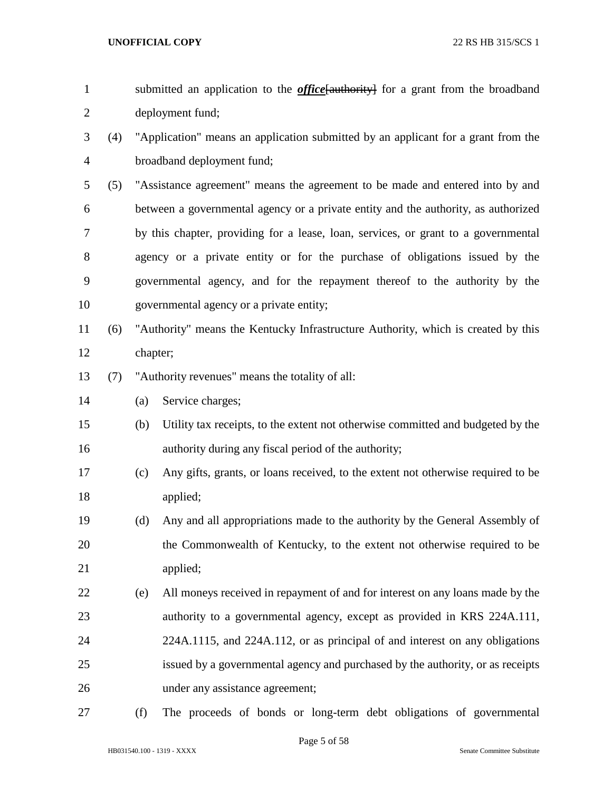| submitted an application to the <i>office</i> [authority] for a grant from the broadband |
|------------------------------------------------------------------------------------------|
| deployment fund;                                                                         |

- (4) "Application" means an application submitted by an applicant for a grant from the broadband deployment fund;
- (5) "Assistance agreement" means the agreement to be made and entered into by and between a governmental agency or a private entity and the authority, as authorized by this chapter, providing for a lease, loan, services, or grant to a governmental agency or a private entity or for the purchase of obligations issued by the governmental agency, and for the repayment thereof to the authority by the governmental agency or a private entity;
- (6) "Authority" means the Kentucky Infrastructure Authority, which is created by this chapter;
- (7) "Authority revenues" means the totality of all:
- (a) Service charges;
- (b) Utility tax receipts, to the extent not otherwise committed and budgeted by the authority during any fiscal period of the authority;
- (c) Any gifts, grants, or loans received, to the extent not otherwise required to be applied;
- (d) Any and all appropriations made to the authority by the General Assembly of the Commonwealth of Kentucky, to the extent not otherwise required to be applied;
- (e) All moneys received in repayment of and for interest on any loans made by the authority to a governmental agency, except as provided in KRS 224A.111, 224A.1115, and 224A.112, or as principal of and interest on any obligations issued by a governmental agency and purchased by the authority, or as receipts under any assistance agreement;
- 

(f) The proceeds of bonds or long-term debt obligations of governmental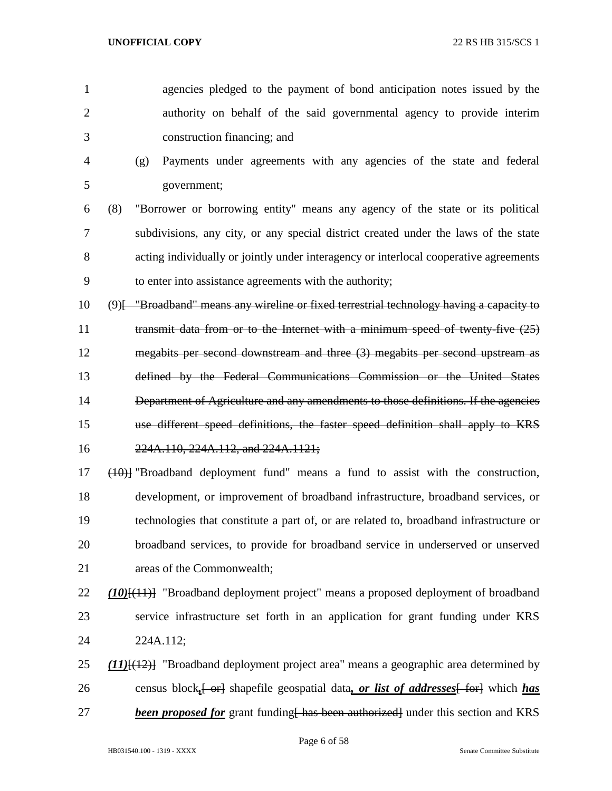- agencies pledged to the payment of bond anticipation notes issued by the authority on behalf of the said governmental agency to provide interim construction financing; and
- (g) Payments under agreements with any agencies of the state and federal government;
- (8) "Borrower or borrowing entity" means any agency of the state or its political subdivisions, any city, or any special district created under the laws of the state acting individually or jointly under interagency or interlocal cooperative agreements to enter into assistance agreements with the authority;
- (9)[ "Broadband" means any wireline or fixed terrestrial technology having a capacity to 11 transmit data from or to the Internet with a minimum speed of twenty-five (25) megabits per second downstream and three (3) megabits per second upstream as defined by the Federal Communications Commission or the United States Department of Agriculture and any amendments to those definitions. If the agencies use different speed definitions, the faster speed definition shall apply to KRS 224A.110, 224A.112, and 224A.1121;
- (10)] "Broadband deployment fund" means a fund to assist with the construction, development, or improvement of broadband infrastructure, broadband services, or technologies that constitute a part of, or are related to, broadband infrastructure or broadband services, to provide for broadband service in underserved or unserved areas of the Commonwealth;
- *(10)*[(11)] "Broadband deployment project" means a proposed deployment of broadband service infrastructure set forth in an application for grant funding under KRS 224A.112;
- *(11)*[(12)] "Broadband deployment project area" means a geographic area determined by 26 census block, <del>[ or]</del> shapefile geospatial data, *or list of addresses* [ for] which *has* **been proposed for** grant funding has been authorized under this section and KRS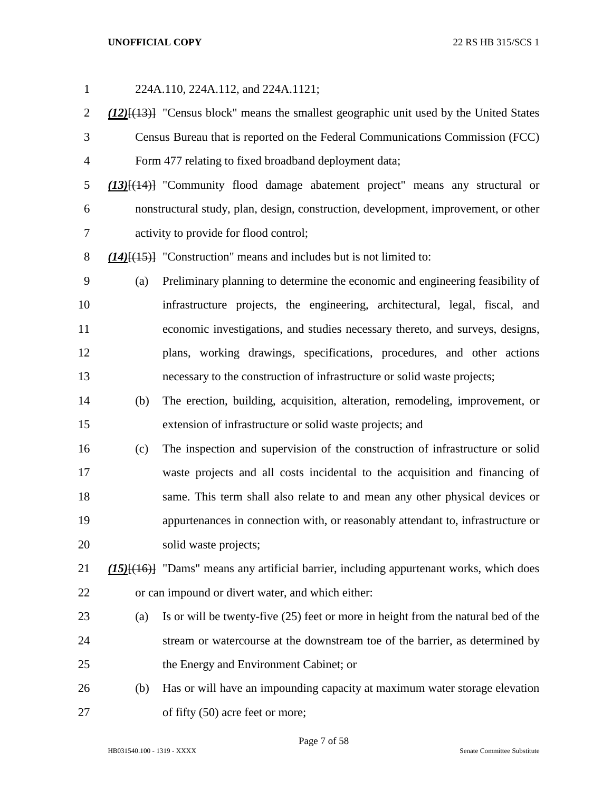| $\mathbf{1}$   |     | 224A.110, 224A.112, and 224A.1121;                                                                  |
|----------------|-----|-----------------------------------------------------------------------------------------------------|
| $\overline{2}$ |     | $(12)$ [ $(13)$ ] "Census block" means the smallest geographic unit used by the United States       |
| 3              |     | Census Bureau that is reported on the Federal Communications Commission (FCC)                       |
| $\overline{4}$ |     | Form 477 relating to fixed broadband deployment data;                                               |
| 5              |     | (13)[(14)] "Community flood damage abatement project" means any structural or                       |
| 6              |     | nonstructural study, plan, design, construction, development, improvement, or other                 |
| 7              |     | activity to provide for flood control;                                                              |
| $8\,$          |     | $(14)$ [ $(15)$ ] "Construction" means and includes but is not limited to:                          |
| 9              | (a) | Preliminary planning to determine the economic and engineering feasibility of                       |
| 10             |     | infrastructure projects, the engineering, architectural, legal, fiscal, and                         |
| 11             |     | economic investigations, and studies necessary thereto, and surveys, designs,                       |
| 12             |     | plans, working drawings, specifications, procedures, and other actions                              |
| 13             |     | necessary to the construction of infrastructure or solid waste projects;                            |
| 14             | (b) | The erection, building, acquisition, alteration, remodeling, improvement, or                        |
| 15             |     | extension of infrastructure or solid waste projects; and                                            |
| 16             | (c) | The inspection and supervision of the construction of infrastructure or solid                       |
| 17             |     | waste projects and all costs incidental to the acquisition and financing of                         |
| 18             |     | same. This term shall also relate to and mean any other physical devices or                         |
| 19             |     | appurtenances in connection with, or reasonably attendant to, infrastructure or                     |
| 20             |     | solid waste projects;                                                                               |
| 21             |     | (15) <sup>[(16)]</sup> "Dams" means any artificial barrier, including appurtenant works, which does |
| 22             |     | or can impound or divert water, and which either:                                                   |
| 23             | (a) | Is or will be twenty-five (25) feet or more in height from the natural bed of the                   |
| 24             |     | stream or watercourse at the downstream toe of the barrier, as determined by                        |
| 25             |     | the Energy and Environment Cabinet; or                                                              |
| 26             | (b) | Has or will have an impounding capacity at maximum water storage elevation                          |
| 27             |     | of fifty (50) acre feet or more;                                                                    |

Page 7 of 58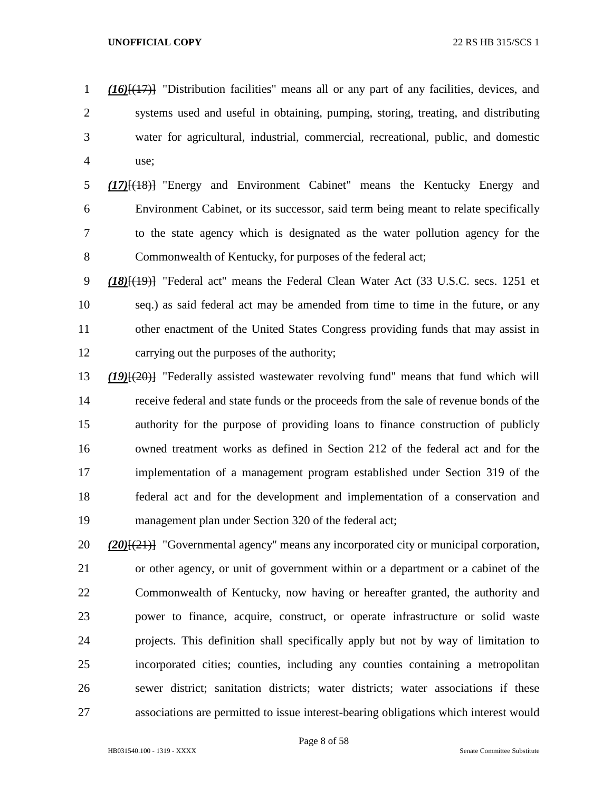*(16)*[(17)] "Distribution facilities" means all or any part of any facilities, devices, and systems used and useful in obtaining, pumping, storing, treating, and distributing water for agricultural, industrial, commercial, recreational, public, and domestic use;

 *(17)*[(18)] "Energy and Environment Cabinet" means the Kentucky Energy and Environment Cabinet, or its successor, said term being meant to relate specifically to the state agency which is designated as the water pollution agency for the 8 Commonwealth of Kentucky, for purposes of the federal act;

 *(18)*[(19)] "Federal act" means the Federal Clean Water Act (33 U.S.C. secs. 1251 et seq.) as said federal act may be amended from time to time in the future, or any other enactment of the United States Congress providing funds that may assist in carrying out the purposes of the authority;

 *(19)*[(20)] "Federally assisted wastewater revolving fund" means that fund which will receive federal and state funds or the proceeds from the sale of revenue bonds of the authority for the purpose of providing loans to finance construction of publicly owned treatment works as defined in Section 212 of the federal act and for the implementation of a management program established under Section 319 of the federal act and for the development and implementation of a conservation and management plan under Section 320 of the federal act;

 *(20)*[(21)] "Governmental agency" means any incorporated city or municipal corporation, or other agency, or unit of government within or a department or a cabinet of the Commonwealth of Kentucky, now having or hereafter granted, the authority and power to finance, acquire, construct, or operate infrastructure or solid waste projects. This definition shall specifically apply but not by way of limitation to incorporated cities; counties, including any counties containing a metropolitan sewer district; sanitation districts; water districts; water associations if these associations are permitted to issue interest-bearing obligations which interest would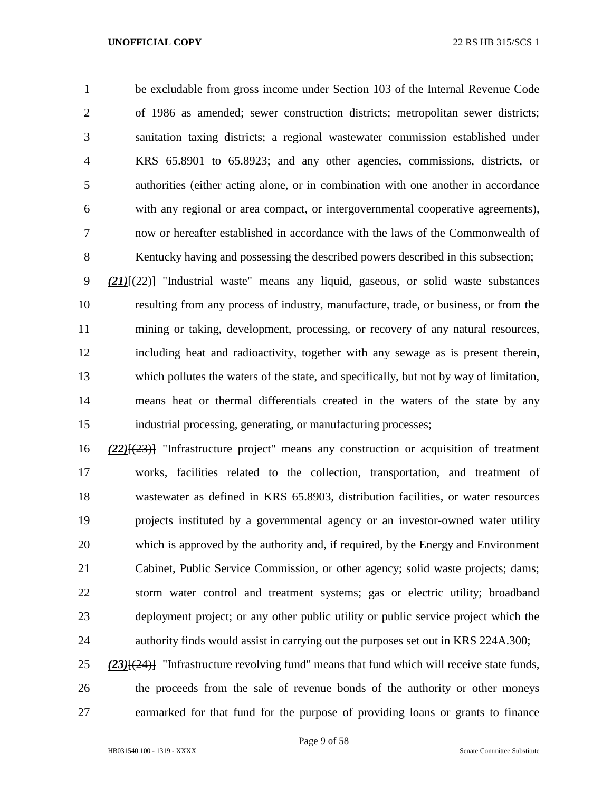be excludable from gross income under Section 103 of the Internal Revenue Code of 1986 as amended; sewer construction districts; metropolitan sewer districts; sanitation taxing districts; a regional wastewater commission established under KRS 65.8901 to 65.8923; and any other agencies, commissions, districts, or authorities (either acting alone, or in combination with one another in accordance with any regional or area compact, or intergovernmental cooperative agreements), now or hereafter established in accordance with the laws of the Commonwealth of Kentucky having and possessing the described powers described in this subsection;

 *(21)*[(22)] "Industrial waste" means any liquid, gaseous, or solid waste substances resulting from any process of industry, manufacture, trade, or business, or from the mining or taking, development, processing, or recovery of any natural resources, including heat and radioactivity, together with any sewage as is present therein, which pollutes the waters of the state, and specifically, but not by way of limitation, means heat or thermal differentials created in the waters of the state by any industrial processing, generating, or manufacturing processes;

 *(22)*[(23)] "Infrastructure project" means any construction or acquisition of treatment works, facilities related to the collection, transportation, and treatment of wastewater as defined in KRS 65.8903, distribution facilities, or water resources projects instituted by a governmental agency or an investor-owned water utility which is approved by the authority and, if required, by the Energy and Environment Cabinet, Public Service Commission, or other agency; solid waste projects; dams; storm water control and treatment systems; gas or electric utility; broadband deployment project; or any other public utility or public service project which the authority finds would assist in carrying out the purposes set out in KRS 224A.300;

 *(23)*[(24)] "Infrastructure revolving fund" means that fund which will receive state funds, the proceeds from the sale of revenue bonds of the authority or other moneys earmarked for that fund for the purpose of providing loans or grants to finance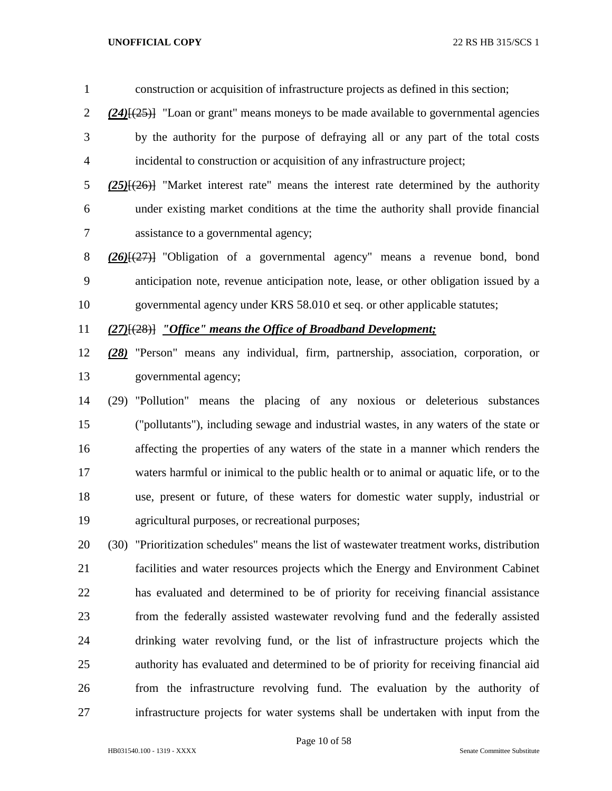construction or acquisition of infrastructure projects as defined in this section; *(24)*[(25)] "Loan or grant" means moneys to be made available to governmental agencies by the authority for the purpose of defraying all or any part of the total costs incidental to construction or acquisition of any infrastructure project; *(25)*[(26)] "Market interest rate" means the interest rate determined by the authority under existing market conditions at the time the authority shall provide financial assistance to a governmental agency; *(26)*[(27)] "Obligation of a governmental agency" means a revenue bond, bond anticipation note, revenue anticipation note, lease, or other obligation issued by a

governmental agency under KRS 58.010 et seq. or other applicable statutes;

*(27)*[(28)] *"Office" means the Office of Broadband Development;*

- *(28)* "Person" means any individual, firm, partnership, association, corporation, or governmental agency;
- (29) "Pollution" means the placing of any noxious or deleterious substances ("pollutants"), including sewage and industrial wastes, in any waters of the state or affecting the properties of any waters of the state in a manner which renders the waters harmful or inimical to the public health or to animal or aquatic life, or to the use, present or future, of these waters for domestic water supply, industrial or agricultural purposes, or recreational purposes;
- (30) "Prioritization schedules" means the list of wastewater treatment works, distribution facilities and water resources projects which the Energy and Environment Cabinet has evaluated and determined to be of priority for receiving financial assistance from the federally assisted wastewater revolving fund and the federally assisted drinking water revolving fund, or the list of infrastructure projects which the authority has evaluated and determined to be of priority for receiving financial aid from the infrastructure revolving fund. The evaluation by the authority of infrastructure projects for water systems shall be undertaken with input from the

Page 10 of 58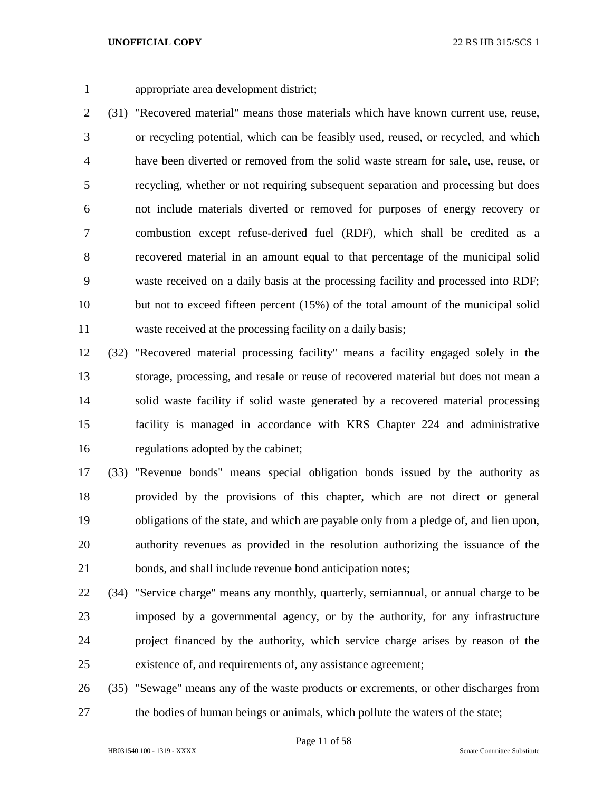appropriate area development district;

 (31) "Recovered material" means those materials which have known current use, reuse, or recycling potential, which can be feasibly used, reused, or recycled, and which have been diverted or removed from the solid waste stream for sale, use, reuse, or recycling, whether or not requiring subsequent separation and processing but does not include materials diverted or removed for purposes of energy recovery or combustion except refuse-derived fuel (RDF), which shall be credited as a recovered material in an amount equal to that percentage of the municipal solid waste received on a daily basis at the processing facility and processed into RDF; but not to exceed fifteen percent (15%) of the total amount of the municipal solid waste received at the processing facility on a daily basis;

 (32) "Recovered material processing facility" means a facility engaged solely in the storage, processing, and resale or reuse of recovered material but does not mean a solid waste facility if solid waste generated by a recovered material processing facility is managed in accordance with KRS Chapter 224 and administrative regulations adopted by the cabinet;

 (33) "Revenue bonds" means special obligation bonds issued by the authority as provided by the provisions of this chapter, which are not direct or general obligations of the state, and which are payable only from a pledge of, and lien upon, authority revenues as provided in the resolution authorizing the issuance of the bonds, and shall include revenue bond anticipation notes;

- (34) "Service charge" means any monthly, quarterly, semiannual, or annual charge to be imposed by a governmental agency, or by the authority, for any infrastructure project financed by the authority, which service charge arises by reason of the existence of, and requirements of, any assistance agreement;
- (35) "Sewage" means any of the waste products or excrements, or other discharges from the bodies of human beings or animals, which pollute the waters of the state;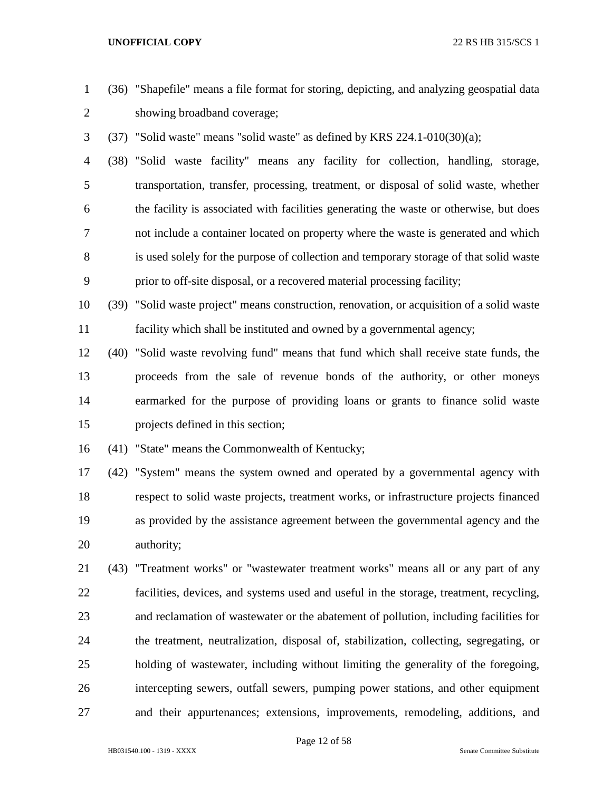- (36) "Shapefile" means a file format for storing, depicting, and analyzing geospatial data showing broadband coverage;
- (37) "Solid waste" means "solid waste" as defined by KRS 224.1-010(30)(a);

 (38) "Solid waste facility" means any facility for collection, handling, storage, transportation, transfer, processing, treatment, or disposal of solid waste, whether the facility is associated with facilities generating the waste or otherwise, but does not include a container located on property where the waste is generated and which is used solely for the purpose of collection and temporary storage of that solid waste prior to off-site disposal, or a recovered material processing facility;

 (39) "Solid waste project" means construction, renovation, or acquisition of a solid waste facility which shall be instituted and owned by a governmental agency;

 (40) "Solid waste revolving fund" means that fund which shall receive state funds, the proceeds from the sale of revenue bonds of the authority, or other moneys earmarked for the purpose of providing loans or grants to finance solid waste projects defined in this section;

(41) "State" means the Commonwealth of Kentucky;

 (42) "System" means the system owned and operated by a governmental agency with respect to solid waste projects, treatment works, or infrastructure projects financed as provided by the assistance agreement between the governmental agency and the authority;

 (43) "Treatment works" or "wastewater treatment works" means all or any part of any facilities, devices, and systems used and useful in the storage, treatment, recycling, and reclamation of wastewater or the abatement of pollution, including facilities for the treatment, neutralization, disposal of, stabilization, collecting, segregating, or holding of wastewater, including without limiting the generality of the foregoing, intercepting sewers, outfall sewers, pumping power stations, and other equipment and their appurtenances; extensions, improvements, remodeling, additions, and

Page 12 of 58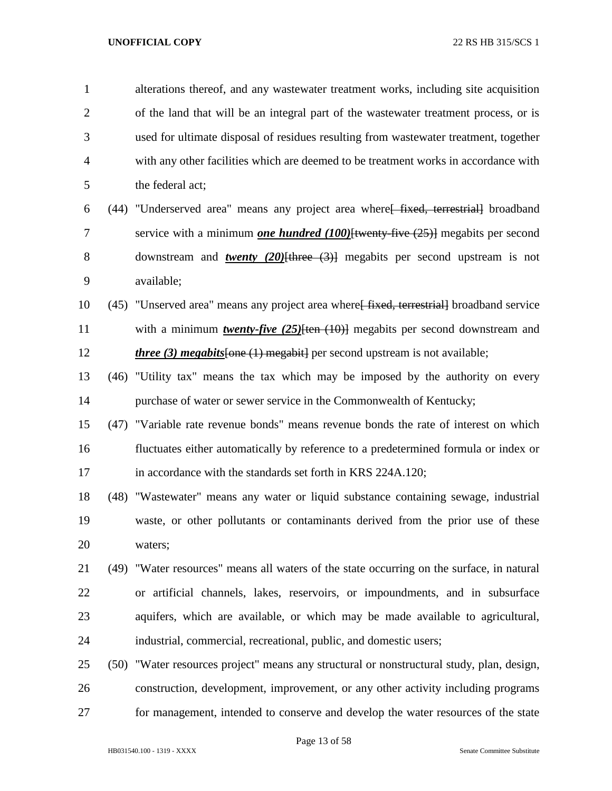| $\mathbf{1}$   |      | alterations thereof, and any wastewater treatment works, including site acquisition         |
|----------------|------|---------------------------------------------------------------------------------------------|
| $\overline{2}$ |      | of the land that will be an integral part of the wastewater treatment process, or is        |
| 3              |      | used for ultimate disposal of residues resulting from wastewater treatment, together        |
| $\overline{4}$ |      | with any other facilities which are deemed to be treatment works in accordance with         |
| 5              |      | the federal act;                                                                            |
| 6              |      | (44) "Underserved area" means any project area where [fixed, terrestrial] broadband         |
| 7              |      | service with a minimum <i>one hundred</i> $(100)$ [twenty five $(25)$ ] megabits per second |
| 8              |      | downstream and <b>twenty</b> (20) $[there (3)]$ megabits per second upstream is not         |
| 9              |      | available;                                                                                  |
| 10             |      | (45) "Unserved area" means any project area where fixed, terrestriall broadband service     |
| 11             |      | with a minimum <i>twenty-five</i> $(25)$ [ten $(10)$ ] megabits per second downstream and   |
| 12             |      | <i>three</i> (3) <i>megabits</i> [one $(1)$ megabit] per second upstream is not available;  |
| 13             |      | (46) "Utility tax" means the tax which may be imposed by the authority on every             |
| 14             |      | purchase of water or sewer service in the Commonwealth of Kentucky;                         |
| 15             |      | (47) "Variable rate revenue bonds" means revenue bonds the rate of interest on which        |
| 16             |      | fluctuates either automatically by reference to a predetermined formula or index or         |
| 17             |      | in accordance with the standards set forth in KRS 224A.120;                                 |
| 18             |      | (48) "Wastewater" means any water or liquid substance containing sewage, industrial         |
| 19             |      | waste, or other pollutants or contaminants derived from the prior use of these              |
| 20             |      | waters;                                                                                     |
| 21             |      | (49) "Water resources" means all waters of the state occurring on the surface, in natural   |
| 22             |      | or artificial channels, lakes, reservoirs, or impoundments, and in subsurface               |
| 23             |      | aquifers, which are available, or which may be made available to agricultural,              |
| 24             |      | industrial, commercial, recreational, public, and domestic users;                           |
| 25             | (50) | "Water resources project" means any structural or nonstructural study, plan, design,        |
| 26             |      | construction, development, improvement, or any other activity including programs            |
| 27             |      | for management, intended to conserve and develop the water resources of the state           |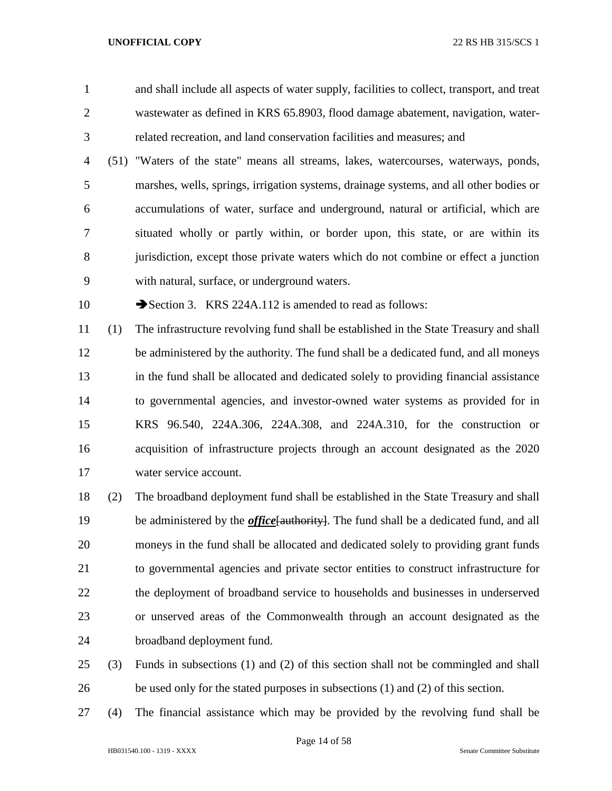and shall include all aspects of water supply, facilities to collect, transport, and treat wastewater as defined in KRS 65.8903, flood damage abatement, navigation, water-related recreation, and land conservation facilities and measures; and

 (51) "Waters of the state" means all streams, lakes, watercourses, waterways, ponds, marshes, wells, springs, irrigation systems, drainage systems, and all other bodies or accumulations of water, surface and underground, natural or artificial, which are situated wholly or partly within, or border upon, this state, or are within its jurisdiction, except those private waters which do not combine or effect a junction with natural, surface, or underground waters.

10 Section 3. KRS 224A.112 is amended to read as follows:

 (1) The infrastructure revolving fund shall be established in the State Treasury and shall be administered by the authority. The fund shall be a dedicated fund, and all moneys in the fund shall be allocated and dedicated solely to providing financial assistance to governmental agencies, and investor-owned water systems as provided for in KRS 96.540, 224A.306, 224A.308, and 224A.310, for the construction or acquisition of infrastructure projects through an account designated as the 2020 water service account.

 (2) The broadband deployment fund shall be established in the State Treasury and shall 19 be administered by the *office* [authority]. The fund shall be a dedicated fund, and all moneys in the fund shall be allocated and dedicated solely to providing grant funds to governmental agencies and private sector entities to construct infrastructure for the deployment of broadband service to households and businesses in underserved or unserved areas of the Commonwealth through an account designated as the broadband deployment fund.

- (3) Funds in subsections (1) and (2) of this section shall not be commingled and shall be used only for the stated purposes in subsections (1) and (2) of this section.
- (4) The financial assistance which may be provided by the revolving fund shall be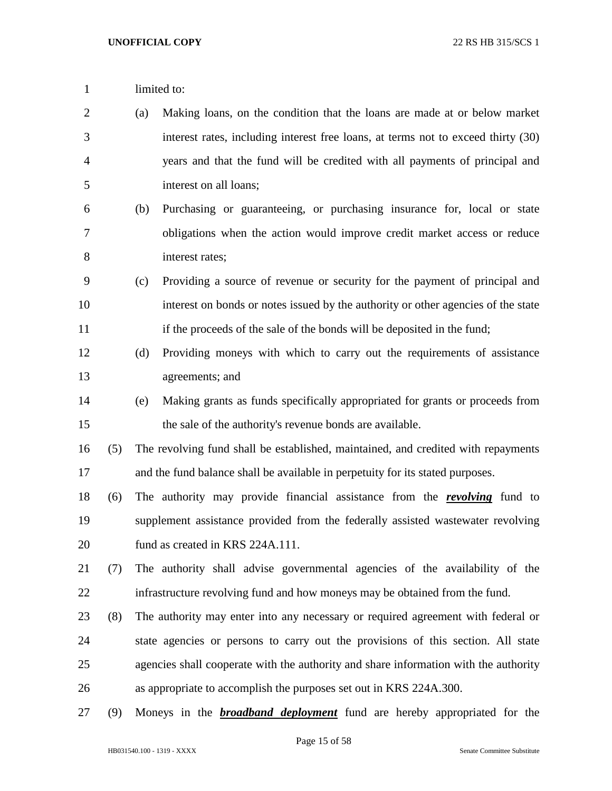- 1 limited to:
- (a) Making loans, on the condition that the loans are made at or below market interest rates, including interest free loans, at terms not to exceed thirty (30) years and that the fund will be credited with all payments of principal and interest on all loans;
- (b) Purchasing or guaranteeing, or purchasing insurance for, local or state obligations when the action would improve credit market access or reduce interest rates;
- (c) Providing a source of revenue or security for the payment of principal and interest on bonds or notes issued by the authority or other agencies of the state 11 if the proceeds of the sale of the bonds will be deposited in the fund;
- (d) Providing moneys with which to carry out the requirements of assistance agreements; and
- (e) Making grants as funds specifically appropriated for grants or proceeds from the sale of the authority's revenue bonds are available.
- (5) The revolving fund shall be established, maintained, and credited with repayments and the fund balance shall be available in perpetuity for its stated purposes.
- (6) The authority may provide financial assistance from the *revolving* fund to supplement assistance provided from the federally assisted wastewater revolving 20 fund as created in KRS 224A.111.
- (7) The authority shall advise governmental agencies of the availability of the infrastructure revolving fund and how moneys may be obtained from the fund.
- (8) The authority may enter into any necessary or required agreement with federal or state agencies or persons to carry out the provisions of this section. All state agencies shall cooperate with the authority and share information with the authority as appropriate to accomplish the purposes set out in KRS 224A.300.
- (9) Moneys in the *broadband deployment* fund are hereby appropriated for the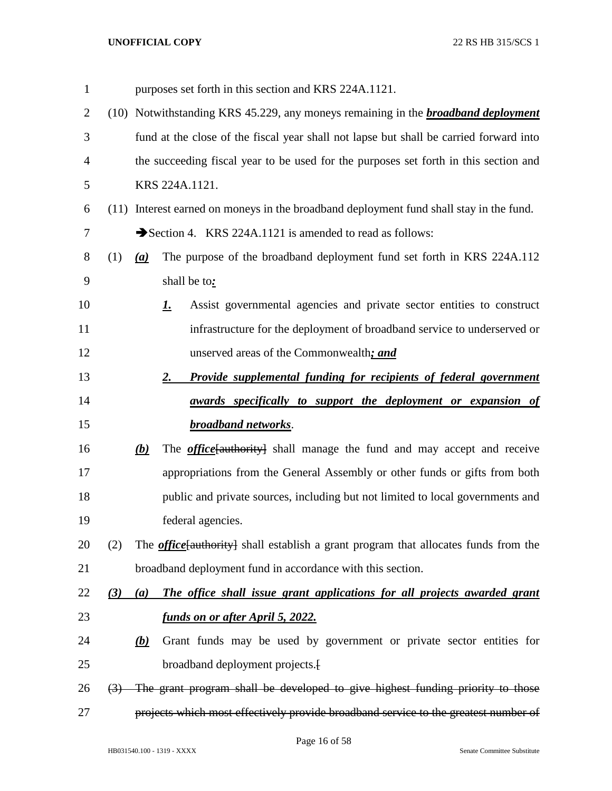| $\mathbf{1}$   |                  |            | purposes set forth in this section and KRS 224A.1121.                                       |
|----------------|------------------|------------|---------------------------------------------------------------------------------------------|
| $\overline{2}$ |                  |            | (10) Notwithstanding KRS 45.229, any moneys remaining in the <b>broadband deployment</b>    |
| 3              |                  |            | fund at the close of the fiscal year shall not lapse but shall be carried forward into      |
| $\overline{4}$ |                  |            | the succeeding fiscal year to be used for the purposes set forth in this section and        |
| 5              |                  |            | KRS 224A.1121.                                                                              |
| 6              |                  |            | (11) Interest earned on moneys in the broadband deployment fund shall stay in the fund.     |
| 7              |                  |            | Section 4. KRS 224A.1121 is amended to read as follows:                                     |
| 8              | (1)              | (a)        | The purpose of the broadband deployment fund set forth in KRS 224A.112                      |
| 9              |                  |            | shall be to:                                                                                |
| 10             |                  |            | Assist governmental agencies and private sector entities to construct<br><u>I.</u>          |
| 11             |                  |            | infrastructure for the deployment of broadband service to underserved or                    |
| 12             |                  |            | unserved areas of the Commonwealth; and                                                     |
| 13             |                  |            | <b>Provide supplemental funding for recipients of federal government</b><br><u>2.</u>       |
| 14             |                  |            | awards specifically to support the deployment or expansion of                               |
| 15             |                  |            | <b>broadband networks.</b>                                                                  |
| 16             |                  | <u>(b)</u> | The <b><i>office</i></b> [authority] shall manage the fund and may accept and receive       |
| 17             |                  |            | appropriations from the General Assembly or other funds or gifts from both                  |
| 18             |                  |            | public and private sources, including but not limited to local governments and              |
| 19             |                  |            | federal agencies.                                                                           |
| 20             | (2)              |            | The <i>office</i> [authority] shall establish a grant program that allocates funds from the |
| 21             |                  |            | broadband deployment fund in accordance with this section.                                  |
| 22             | (3)              | (a)        | The office shall issue grant applications for all projects awarded grant                    |
| 23             |                  |            | <u>funds on or after April 5, 2022.</u>                                                     |
| 24             |                  | (b)        | Grant funds may be used by government or private sector entities for                        |
| 25             |                  |            | broadband deployment projects. <sup>[1]</sup>                                               |
| 26             | $\left(3\right)$ |            | The grant program shall be developed to give highest funding priority to those              |
|                |                  |            | projects which most effectively provide broadband service to the greatest number of         |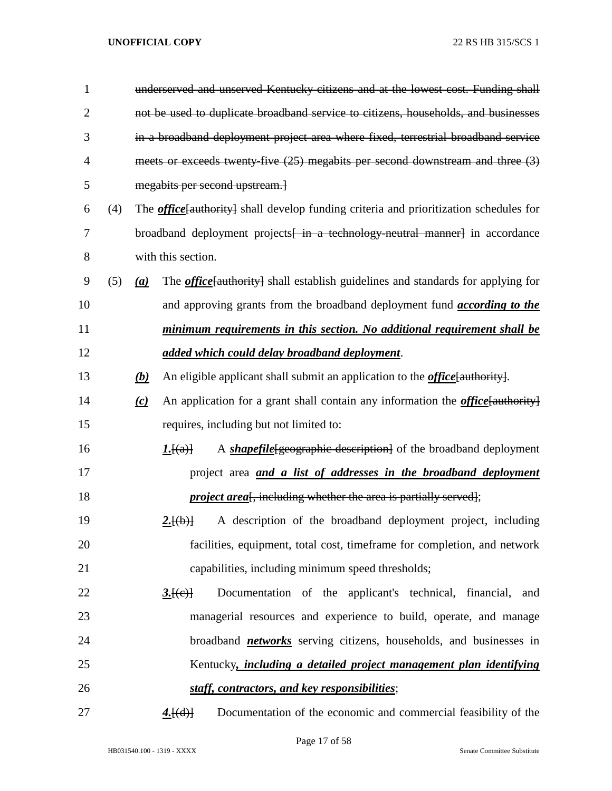| 1              |     |                  | underserved and unserved Kentucky citizens and at the lowest cost. Funding shall              |  |  |  |  |  |
|----------------|-----|------------------|-----------------------------------------------------------------------------------------------|--|--|--|--|--|
| $\overline{2}$ |     |                  | not be used to duplicate broadband service to citizens, households, and businesses            |  |  |  |  |  |
| 3              |     |                  | in a broadband deployment project area where fixed, terrestrial broadband service             |  |  |  |  |  |
| 4              |     |                  | meets or exceeds twenty five (25) megabits per second downstream and three (3)                |  |  |  |  |  |
| 5              |     |                  | megabits per second upstream.                                                                 |  |  |  |  |  |
| 6              | (4) |                  | The <i>office</i> [authority] shall develop funding criteria and prioritization schedules for |  |  |  |  |  |
| 7              |     |                  | broadband deployment projects <del>[ in a technology neutral manner]</del> in accordance      |  |  |  |  |  |
| 8              |     |                  | with this section.                                                                            |  |  |  |  |  |
| 9              | (5) | $\left(a\right)$ | The <i>office</i> [authority] shall establish guidelines and standards for applying for       |  |  |  |  |  |
| 10             |     |                  | and approving grants from the broadband deployment fund <i>according to the</i>               |  |  |  |  |  |
| 11             |     |                  | minimum requirements in this section. No additional requirement shall be                      |  |  |  |  |  |
| 12             |     |                  | added which could delay broadband deployment.                                                 |  |  |  |  |  |
| 13             |     | (b)              | An eligible applicant shall submit an application to the <i>office</i> [authority].           |  |  |  |  |  |
| 14             |     | (c)              | An application for a grant shall contain any information the <i>office</i> [authority]        |  |  |  |  |  |
| 15             |     |                  | requires, including but not limited to:                                                       |  |  |  |  |  |
| 16             |     |                  | A <i>shapefile</i> [geographic description] of the broadband deployment<br>I.[(a)]            |  |  |  |  |  |
| 17             |     |                  | project area <i>and a list of addresses in the broadband deployment</i>                       |  |  |  |  |  |
| 18             |     |                  | <i>project area</i> , including whether the area is partially served);                        |  |  |  |  |  |
| 19             |     |                  | A description of the broadband deployment project, including<br>2.[(b)]                       |  |  |  |  |  |
| 20             |     |                  | facilities, equipment, total cost, timeframe for completion, and network                      |  |  |  |  |  |
| 21             |     |                  | capabilities, including minimum speed thresholds;                                             |  |  |  |  |  |
| 22             |     |                  | Documentation of the applicant's technical, financial,<br>3.[(e)]<br>and                      |  |  |  |  |  |
| 23             |     |                  | managerial resources and experience to build, operate, and manage                             |  |  |  |  |  |
| 24             |     |                  | broadband <i>networks</i> serving citizens, households, and businesses in                     |  |  |  |  |  |
| 25             |     |                  | Kentucky, <i>including a detailed project management plan identifying</i>                     |  |  |  |  |  |
| 26             |     |                  | staff, contractors, and key responsibilities;                                                 |  |  |  |  |  |
| 27             |     |                  | 4.[(d)]<br>Documentation of the economic and commercial feasibility of the                    |  |  |  |  |  |

Page 17 of 58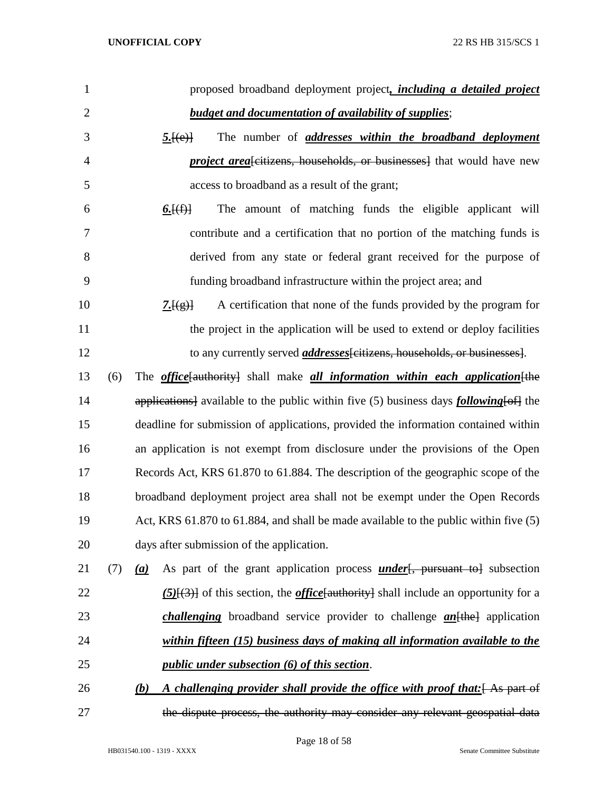| 1              | proposed broadband deployment project, <i>including a detailed project</i>                        |
|----------------|---------------------------------------------------------------------------------------------------|
| $\overline{2}$ | <b>budget and documentation of availability of supplies;</b>                                      |
| 3              | The number of <i>addresses</i> within the broadband deployment<br>5.[(e)]                         |
| $\overline{4}$ | <i>project area</i> eitizens, households, or businesses] that would have new                      |
| 5              | access to broadband as a result of the grant;                                                     |
| 6              | The amount of matching funds the eligible applicant will<br><u>6. <math>[(f)]</math></u>          |
| 7              | contribute and a certification that no portion of the matching funds is                           |
| 8              | derived from any state or federal grant received for the purpose of                               |
| 9              | funding broadband infrastructure within the project area; and                                     |
| 10             | A certification that none of the funds provided by the program for<br>$\frac{7.[(g)}{2}$          |
| 11             | the project in the application will be used to extend or deploy facilities                        |
| 12             | to any currently served <i>addresses</i> [citizens, households, or businesses].                   |
| 13<br>(6)      | The <i>office</i> [authority] shall make <i>all information within each application</i> [the      |
| 14             | applications] available to the public within five (5) business days <i>following</i> [of] the     |
| 15             | deadline for submission of applications, provided the information contained within                |
| 16             | an application is not exempt from disclosure under the provisions of the Open                     |
| 17             | Records Act, KRS 61.870 to 61.884. The description of the geographic scope of the                 |
| 18             | broadband deployment project area shall not be exempt under the Open Records                      |
| 19             | Act, KRS 61.870 to 61.884, and shall be made available to the public within five (5)              |
| 20             | days after submission of the application.                                                         |
| 21<br>(7)      | As part of the grant application process <i>under</i> [, pursuant to ] subsection<br>(a)          |
| 22             | $(5)$ [ $(3)$ ] of this section, the <i>office</i> [authority] shall include an opportunity for a |
| 23             | <i>challenging</i> broadband service provider to challenge $an$ <sup>[the]</sup> application      |
| 24             | within fifteen (15) business days of making all information available to the                      |
| 25             | <i>public under subsection (6) of this section.</i>                                               |
| 26             | A challenging provider shall provide the office with proof that: As part of<br><u>(b)</u>         |
| 27             | the dispute process, the authority may consider any relevant geospatial data                      |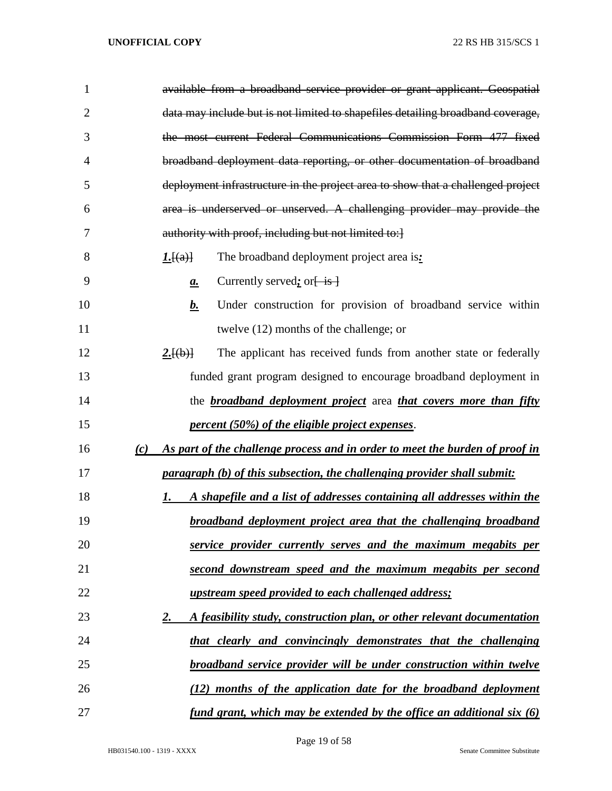| $\mathbf{1}$   | available from a broadband service provider or grant applicant. Geospatial          |
|----------------|-------------------------------------------------------------------------------------|
| $\overline{2}$ | data may include but is not limited to shapefiles detailing broadband coverage,     |
| 3              | the most current Federal Communications Commission Form 477 fixed                   |
| 4              | broadband deployment data reporting, or other documentation of broadband            |
| 5              | deployment infrastructure in the project area to show that a challenged project     |
| 6              | area is underserved or unserved. A challenging provider may provide the             |
| 7              | authority with proof, including but not limited to:]                                |
| 8              | The broadband deployment project area is:<br>I.[(a)]                                |
| 9              | Currently served; or $\frac{1}{1}$<br>$\mathbf{a}$ .                                |
| 10             | Under construction for provision of broadband service within<br><u>b.</u>           |
| 11             | twelve (12) months of the challenge; or                                             |
| 12             | 2.[(b)]<br>The applicant has received funds from another state or federally         |
| 13             | funded grant program designed to encourage broadband deployment in                  |
| 14             | the <b>broadband deployment project</b> area <i>that covers more than fifty</i>     |
| 15             | <i>percent (50%) of the eligible project expenses.</i>                              |
| 16             | As part of the challenge process and in order to meet the burden of proof in<br>(c) |
| 17             | <i>paragraph (b) of this subsection, the challenging provider shall submit:</i>     |
| 18             | A shapefile and a list of addresses containing all addresses within the<br>1.       |
| 19             | <b>broadband deployment project area that the challenging broadband</b>             |
| 20             | service provider currently serves and the maximum megabits per                      |
| 21             | second downstream speed and the maximum megabits per second                         |
| 22             | <u>upstream speed provided to each challenged address;</u>                          |
| 23             | A feasibility study, construction plan, or other relevant documentation<br>2.       |
| 24             | that clearly and convincingly demonstrates that the challenging                     |
| 25             | broadband service provider will be under construction within twelve                 |
| 26             | (12) months of the application date for the broadband deployment                    |
| 27             | <u>fund grant, which may be extended by the office an additional six (6)</u>        |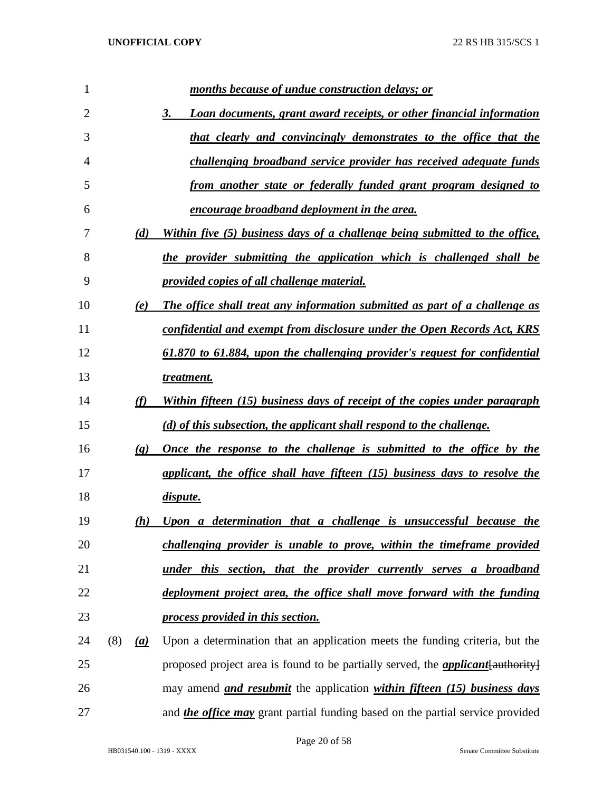| 1              |     |                             | months because of undue construction delays; or                                         |
|----------------|-----|-----------------------------|-----------------------------------------------------------------------------------------|
| $\overline{2}$ |     |                             | 3.<br><b>Loan documents, grant award receipts, or other financial information</b>       |
| 3              |     |                             | that clearly and convincingly demonstrates to the office that the                       |
| 4              |     |                             | challenging broadband service provider has received adequate funds                      |
| 5              |     |                             | from another state or federally funded grant program designed to                        |
| 6              |     |                             | <u>encourage broadband deployment in the area.</u>                                      |
| 7              |     | (d)                         | Within five (5) business days of a challenge being submitted to the office,             |
| 8              |     |                             | the provider submitting the application which is challenged shall be                    |
| 9              |     |                             | <u>provided copies of all challenge material.</u>                                       |
| 10             |     | (e)                         | The office shall treat any information submitted as part of a challenge as              |
| 11             |     |                             | confidential and exempt from disclosure under the Open Records Act, KRS                 |
| 12             |     |                             | 61.870 to 61.884, upon the challenging provider's request for confidential              |
| 13             |     |                             | treatment.                                                                              |
| 14             |     | (f)                         | Within fifteen (15) business days of receipt of the copies under paragraph              |
| 15             |     |                             | (d) of this subsection, the applicant shall respond to the challenge.                   |
| 16             |     | $\left( \mathbf{g} \right)$ | Once the response to the challenge is submitted to the office by the                    |
| 17             |     |                             | applicant, the office shall have fifteen (15) business days to resolve the              |
| 18             |     |                             | dispute.                                                                                |
| 19             |     | (h)                         | Upon a determination that a challenge is unsuccessful because the                       |
| 20             |     |                             | challenging provider is unable to prove, within the timeframe provided                  |
| 21             |     |                             | under this section, that the provider currently serves a broadband                      |
| 22             |     |                             | deployment project area, the office shall move forward with the funding                 |
| 23             |     |                             | process provided in this section.                                                       |
| 24             | (8) | (a)                         | Upon a determination that an application meets the funding criteria, but the            |
| 25             |     |                             | proposed project area is found to be partially served, the <i>applicant</i> [authority] |
| 26             |     |                             | may amend <i>and resubmit</i> the application <i>within fifteen (15) business days</i>  |
| 27             |     |                             | and <i>the office may</i> grant partial funding based on the partial service provided   |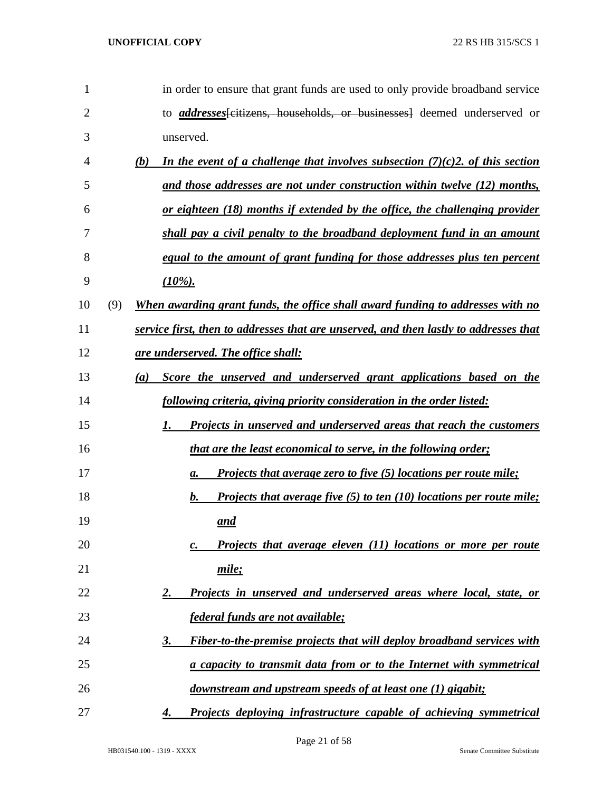| $\mathbf{1}$ |     | in order to ensure that grant funds are used to only provide broadband service          |
|--------------|-----|-----------------------------------------------------------------------------------------|
| 2            |     | to <i>addresses</i> feitizens, households, or businesses deemed underserved or          |
| 3            |     | unserved.                                                                               |
| 4            |     | In the event of a challenge that involves subsection $(7)(c)$ 2. of this section<br>(b) |
| 5            |     | and those addresses are not under construction within twelve (12) months,               |
| 6            |     | <u>or eighteen (18) months if extended by the office, the challenging provider</u>      |
| 7            |     | shall pay a civil penalty to the broadband deployment fund in an amount                 |
| 8            |     | equal to the amount of grant funding for those addresses plus ten percent               |
| 9            |     | $(10\%)$ .                                                                              |
| 10           | (9) | When awarding grant funds, the office shall award funding to addresses with no          |
| 11           |     | service first, then to addresses that are unserved, and then lastly to addresses that   |
| 12           |     | <u>are underserved. The office shall:</u>                                               |
| 13           |     | Score the unserved and underserved grant applications based on the<br>(a)               |
| 14           |     | following criteria, giving priority consideration in the order listed:                  |
| 15           |     | Projects in unserved and underserved areas that reach the customers<br>1.               |
| 16           |     | that are the least economical to serve, in the following order;                         |
| 17           |     | Projects that average zero to five (5) locations per route mile;<br>а.                  |
| 18           |     | Projects that average five $(5)$ to ten $(10)$ locations per route mile;<br>b.          |
| 19           |     | and                                                                                     |
| 20           |     | Projects that average eleven (11) locations or more per route<br>c.                     |
| 21           |     | mile;                                                                                   |
| 22           |     | Projects in unserved and underserved areas where local, state, or<br>2.                 |
| 23           |     | federal funds are not available;                                                        |
| 24           |     | Fiber-to-the-premise projects that will deploy broadband services with<br><b>3.</b>     |
| 25           |     | a capacity to transmit data from or to the Internet with symmetrical                    |
| 26           |     | downstream and upstream speeds of at least one (1) gigabit;                             |
| 27           |     | Projects deploying infrastructure capable of achieving symmetrical<br>4.                |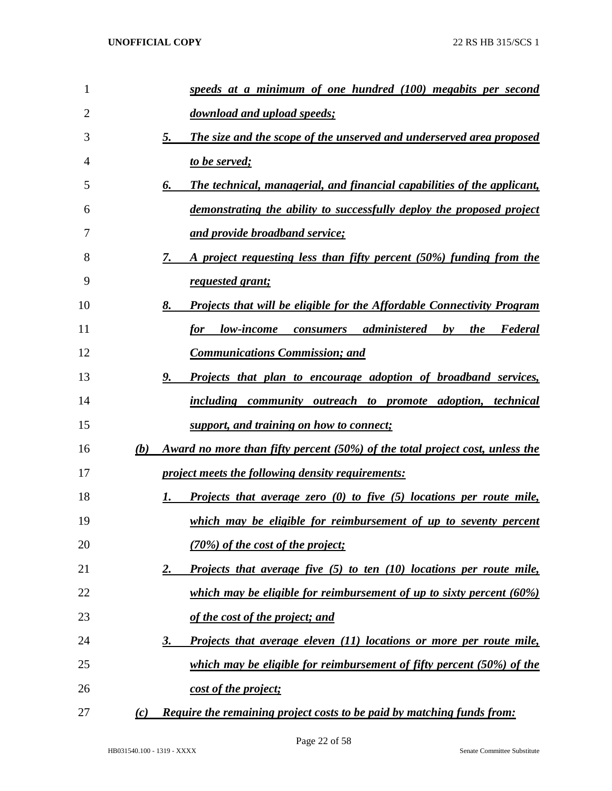| 1  | speeds at a minimum of one hundred (100) megabits per second                               |
|----|--------------------------------------------------------------------------------------------|
| 2  | download and upload speeds;                                                                |
| 3  | <b>The size and the scope of the unserved and underserved area proposed</b><br>5.          |
| 4  | to be served;                                                                              |
| 5  | The technical, managerial, and financial capabilities of the applicant,<br>6.              |
| 6  | demonstrating the ability to successfully deploy the proposed project                      |
| 7  | and provide broadband service;                                                             |
| 8  | A project requesting less than fifty percent (50%) funding from the<br>7.                  |
| 9  | <u>requested grant;</u>                                                                    |
| 10 | <b>Projects that will be eligible for the Affordable Connectivity Program</b><br>8.        |
| 11 | low-income consumers administered<br>by the<br>Federal<br><i>for</i>                       |
| 12 | <b>Communications Commission; and</b>                                                      |
| 13 | <b>Projects that plan to encourage adoption of broadband services,</b><br>9.               |
| 14 | including community outreach to promote adoption, technical                                |
| 15 | support, and training on how to connect;                                                   |
| 16 | (b)<br><u>Award no more than fifty percent (50%) of the total project cost, unless the</u> |
| 17 | <i><u><b>project meets the following density requirements:</b></u></i>                     |
| 18 | Projects that average zero $(0)$ to five $(5)$ locations per route mile,<br>1.             |
| 19 | <u>which may be eligible for reimbursement of up to seventy percent</u>                    |
| 20 | (70%) of the cost of the project;                                                          |
| 21 | <b>Projects that average five (5) to ten (10) locations per route mile,</b><br>2.          |
| 22 | which may be eligible for reimbursement of up to sixty percent (60%)                       |
| 23 | of the cost of the project; and                                                            |
| 24 | Projects that average eleven (11) locations or more per route mile,<br><u>3.</u>           |
| 25 | which may be eligible for reimbursement of fifty percent $(50\%)$ of the                   |
| 26 | cost of the project;                                                                       |
| 27 | Require the remaining project costs to be paid by matching funds from:<br>(c)              |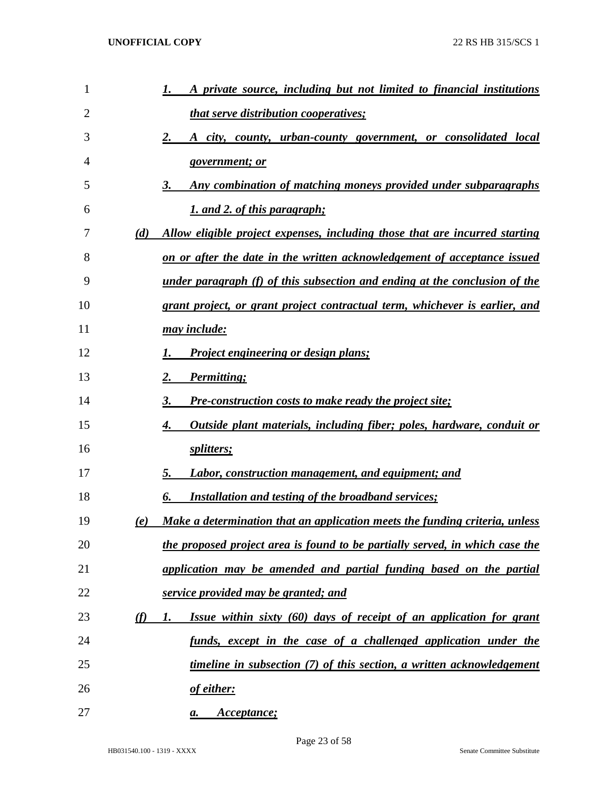| 1  |          | A private source, including but not limited to financial institutions             |
|----|----------|-----------------------------------------------------------------------------------|
| 2  |          | <i>that serve distribution cooperatives;</i>                                      |
| 3  |          | 2.<br><u>A city, county, urban-county government, or consolidated local</u>       |
| 4  |          | <u>government; or</u>                                                             |
| 5  |          | Any combination of matching moneys provided under subparagraphs<br>3.             |
| 6  |          | 1. and 2. of this paragraph;                                                      |
| 7  | (d)      | Allow eligible project expenses, including those that are incurred starting       |
| 8  |          | <u>on or after the date in the written acknowledgement of acceptance issued</u>   |
| 9  |          | <u>under paragraph (f) of this subsection and ending at the conclusion of the</u> |
| 10 |          | grant project, or grant project contractual term, whichever is earlier, and       |
| 11 |          | <u>may include:</u>                                                               |
| 12 |          | <b>Project engineering or design plans;</b>                                       |
| 13 |          | Permitting;<br>2.                                                                 |
| 14 |          | <b>Pre-construction costs to make ready the project site;</b><br>3.               |
| 15 |          | Outside plant materials, including fiber; poles, hardware, conduit or<br>4.       |
| 16 |          | splitters;                                                                        |
| 17 |          | <b>Labor, construction management, and equipment; and</b><br>5.                   |
| 18 |          | <b>Installation and testing of the broadband services;</b><br>6.                  |
| 19 | (e)      | Make a determination that an application meets the funding criteria, unless       |
| 20 |          | the proposed project area is found to be partially served, in which case the      |
| 21 |          | application may be amended and partial funding based on the partial               |
| 22 |          | service provided may be granted; and                                              |
| 23 | $\omega$ | Issue within sixty (60) days of receipt of an application for grant<br>1.         |
| 24 |          | funds, except in the case of a challenged application under the                   |
| 25 |          | timeline in subsection (7) of this section, a written acknowledgement             |
| 26 |          | of either:                                                                        |
| 27 |          | Acceptance;<br>a.                                                                 |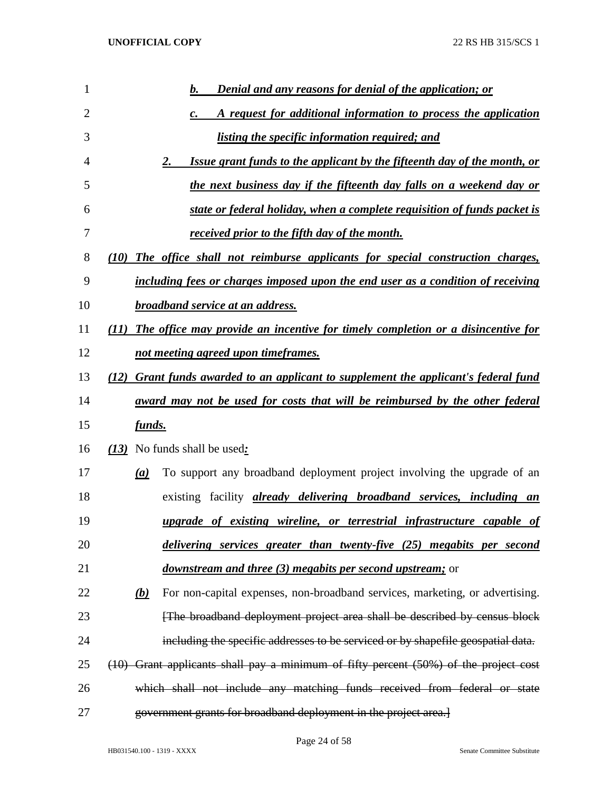| 1  |                            | <b>Denial and any reasons for denial of the application; or</b><br>b.                 |
|----|----------------------------|---------------------------------------------------------------------------------------|
| 2  |                            | A request for additional information to process the application<br>$\boldsymbol{c}$ . |
| 3  |                            | <i>listing the specific information required; and</i>                                 |
| 4  |                            | Issue grant funds to the applicant by the fifteenth day of the month, or<br><u>2.</u> |
| 5  |                            | the next business day if the fifteenth day falls on a weekend day or                  |
| 6  |                            | state or federal holiday, when a complete requisition of funds packet is              |
| 7  |                            | received prior to the fifth day of the month.                                         |
| 8  | (10)                       | The office shall not reimburse applicants for special construction charges,           |
| 9  |                            | including fees or charges imposed upon the end user as a condition of receiving       |
| 10 |                            | <b>broadband service at an address.</b>                                               |
| 11 | (11)                       | The office may provide an incentive for timely completion or a disincentive for       |
| 12 |                            | not meeting agreed upon timeframes.                                                   |
| 13 | (12)                       | <b>Grant funds awarded to an applicant to supplement the applicant's federal fund</b> |
| 14 |                            | <u>award may not be used for costs that will be reimbursed by the other federal</u>   |
| 15 | <u>funds.</u>              |                                                                                       |
| 16 |                            | (13) No funds shall be used:                                                          |
| 17 | $\left(a\right)$           | To support any broadband deployment project involving the upgrade of an               |
| 18 |                            | existing facility <i>already delivering broadband services</i> , <i>including an</i>  |
| 19 |                            | upgrade of existing wireline, or terrestrial infrastructure capable of                |
| 20 |                            | delivering services greater than twenty-five (25) megabits per second                 |
| 21 |                            | <i>downstream and three (3) megabits per second upstream;</i> or                      |
| 22 | $\underline{\mathbf{(b)}}$ | For non-capital expenses, non-broadband services, marketing, or advertising.          |
| 23 |                            | [The broadband deployment project area shall be described by census block             |
| 24 |                            | including the specific addresses to be serviced or by shapefile geospatial data.      |
| 25 |                            | (10) Grant applicants shall pay a minimum of fifty percent (50%) of the project cost  |
| 26 |                            | which shall not include any matching funds received from federal or state             |
| 27 |                            | government grants for broadband deployment in the project area.]                      |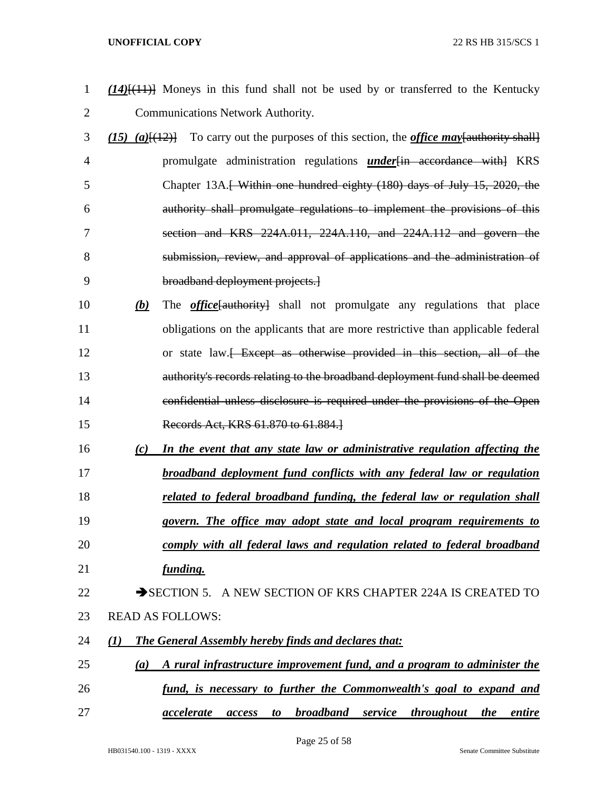- *(14)*[(11)] Moneys in this fund shall not be used by or transferred to the Kentucky Communications Network Authority.
- *(15) (a)*[(12)] To carry out the purposes of this section, the *office may*[authority shall] promulgate administration regulations *under*[in accordance with] KRS 5 Chapter 13A.<del>[ Within one hundred eighty (180) days of July 15, 2020, the</del> authority shall promulgate regulations to implement the provisions of this section and KRS 224A.011, 224A.110, and 224A.112 and govern the submission, review, and approval of applications and the administration of broadband deployment projects.]
- *(b)* The *office*[authority] shall not promulgate any regulations that place obligations on the applicants that are more restrictive than applicable federal 12 or state law.<del> Except as otherwise provided in this section, all of the</del> authority's records relating to the broadband deployment fund shall be deemed confidential unless disclosure is required under the provisions of the Open Records Act, KRS 61.870 to 61.884.]
- *(c) In the event that any state law or administrative regulation affecting the broadband deployment fund conflicts with any federal law or regulation*
- *related to federal broadband funding, the federal law or regulation shall*
- *govern. The office may adopt state and local program requirements to*
- *comply with all federal laws and regulation related to federal broadband funding.*

# 22 SECTION 5. A NEW SECTION OF KRS CHAPTER 224A IS CREATED TO READ AS FOLLOWS:

- *(1) The General Assembly hereby finds and declares that:*
- *(a) A rural infrastructure improvement fund, and a program to administer the fund, is necessary to further the Commonwealth's goal to expand and*
- *accelerate access to broadband service throughout the entire*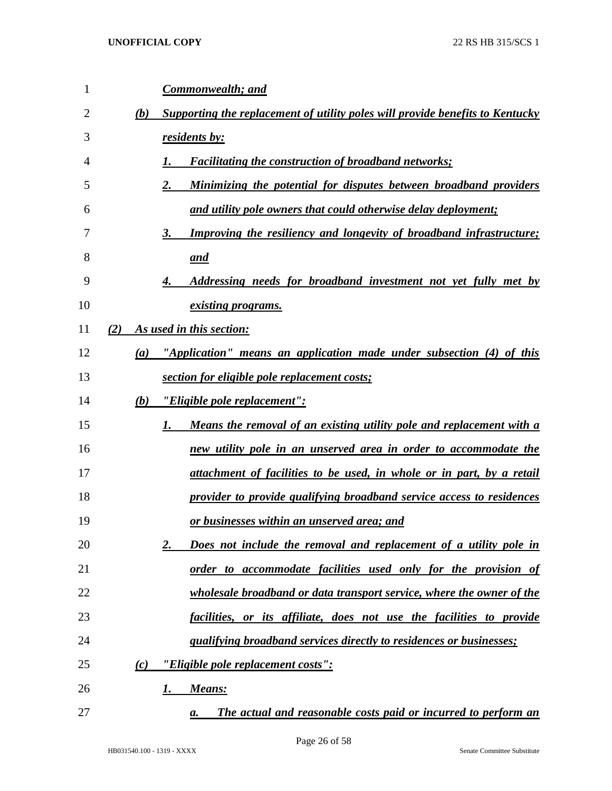| 1              | Commonwealth; and                                                                    |
|----------------|--------------------------------------------------------------------------------------|
| $\overline{2}$ | Supporting the replacement of utility poles will provide benefits to Kentucky<br>(b) |
| 3              | residents by:                                                                        |
| $\overline{4}$ | <b>Facilitating the construction of broadband networks;</b>                          |
| 5              | 2.<br>Minimizing the potential for disputes between broadband providers              |
| 6              | and utility pole owners that could otherwise delay deployment;                       |
| 7              | Improving the resiliency and longevity of broadband infrastructure;<br>3.            |
| 8              | and                                                                                  |
| 9              | Addressing needs for broadband investment not yet fully met by                       |
| 10             | <i>existing programs.</i>                                                            |
| 11             | As used in this section:<br>(2)                                                      |
| 12             | "Application" means an application made under subsection (4) of this<br>(a)          |
| 13             | section for eligible pole replacement costs;                                         |
| 14             | "Eligible pole replacement":<br>(b)                                                  |
| 15             | Means the removal of an existing utility pole and replacement with a<br>1.           |
| 16             | new utility pole in an unserved area in order to accommodate the                     |
| 17             | attachment of facilities to be used, in whole or in part, by a retail                |
| 18             | provider to provide qualifying broadband service access to residences                |
| 19             | <u>or businesses within an unserved area; and</u>                                    |
| 20             | 2.<br>Does not include the removal and replacement of a utility pole in              |
| 21             | order to accommodate facilities used only for the provision of                       |
| 22             | wholesale broadband or data transport service, where the owner of the                |
| 23             | facilities, or its affiliate, does not use the facilities to provide                 |
| 24             | qualifying broadband services directly to residences or businesses;                  |
| 25             | <u>"Eligible pole replacement costs":</u><br>(c)                                     |
| 26             | Means:<br>1.                                                                         |
| 27             | The actual and reasonable costs paid or incurred to perform an<br>a.                 |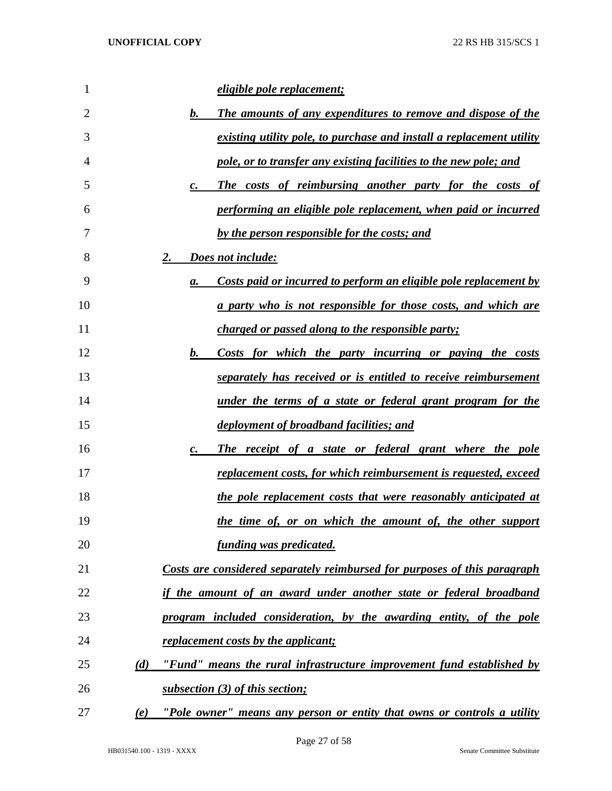| 1  | eligible pole replacement;                                                             |
|----|----------------------------------------------------------------------------------------|
| 2  | <b>The amounts of any expenditures to remove and dispose of the</b><br>$\mathbf{b}$ .  |
| 3  | existing utility pole, to purchase and install a replacement utility                   |
| 4  | pole, or to transfer any existing facilities to the new pole; and                      |
| 5  | The costs of reimbursing another party for the costs of<br>$\mathfrak{c}.$             |
| 6  | performing an eligible pole replacement, when paid or incurred                         |
| 7  | by the person responsible for the costs; and                                           |
| 8  | 2.<br>Does not include:                                                                |
| 9  | <u>Costs paid or incurred to perform an eligible pole replacement by</u><br>а.         |
| 10 | <u>a party who is not responsible for those costs, and which are</u>                   |
| 11 | <i>charged or passed along to the responsible party;</i>                               |
| 12 | Costs for which the party incurring or paying the costs<br>$\mathbf{b}$ .              |
| 13 | separately has received or is entitled to receive reimbursement                        |
| 14 | <u>under the terms of a state or federal grant program for the</u>                     |
| 15 | <u>deployment of broadband facilities; and</u>                                         |
| 16 | The receipt of a state or federal grant where the pole<br>$\mathbf{c}$ .               |
| 17 | <u>replacement costs, for which reimbursement is requested, exceed</u>                 |
| 18 | the pole replacement costs that were reasonably anticipated at                         |
| 19 | the time of, or on which the amount of, the other support                              |
| 20 | funding was predicated.                                                                |
| 21 | Costs are considered separately reimbursed for purposes of this paragraph              |
| 22 | if the amount of an award under another state or federal broadband                     |
| 23 | program included consideration, by the awarding entity, of the pole                    |
| 24 | <i>replacement costs by the applicant;</i>                                             |
| 25 | (d)<br>"Fund" means the rural infrastructure improvement fund established by           |
| 26 | subsection (3) of this section;                                                        |
| 27 | "Pole owner <u>" means any person or entity that owns or controls a utility</u><br>(e) |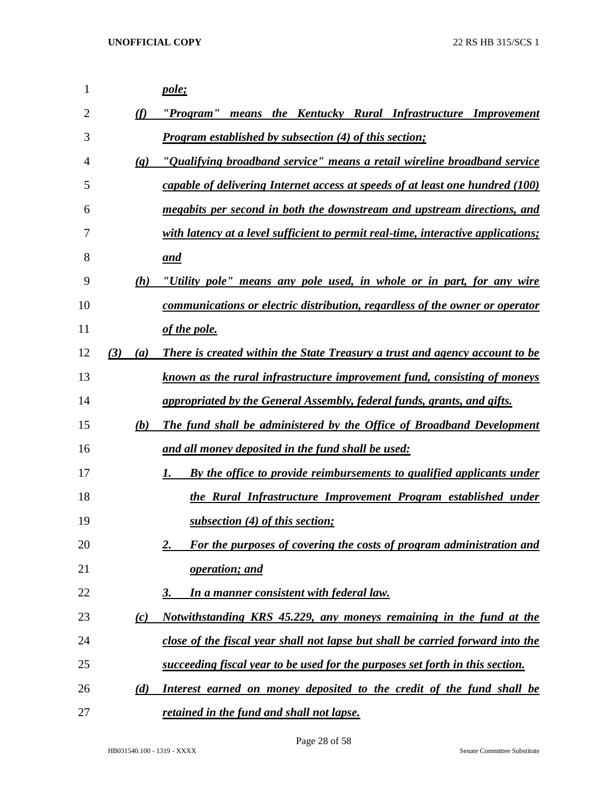| 1  |                             | pole;                                                                             |
|----|-----------------------------|-----------------------------------------------------------------------------------|
| 2  | (f)                         | "Program" means the Kentucky Rural Infrastructure Improvement                     |
| 3  |                             | <b>Program established by subsection (4) of this section;</b>                     |
| 4  | $\left( \mathbf{g} \right)$ | "Qualifying broadband service" means a retail wireline broadband service          |
| 5  |                             | capable of delivering Internet access at speeds of at least one hundred (100)     |
| 6  |                             | megabits per second in both the downstream and upstream directions, and           |
| 7  |                             | with latency at a level sufficient to permit real-time, interactive applications; |
| 8  |                             | and                                                                               |
| 9  | (h)                         | "Utility pole" means any pole used, in whole or in part, for any wire             |
| 10 |                             | communications or electric distribution, regardless of the owner or operator      |
| 11 |                             | of the pole.                                                                      |
| 12 | (3)<br>(a)                  | There is created within the State Treasury a trust and agency account to be       |
| 13 |                             | known as the rural infrastructure improvement fund, consisting of moneys          |
| 14 |                             | appropriated by the General Assembly, federal funds, grants, and gifts.           |
| 15 | (b)                         | <b>The fund shall be administered by the Office of Broadband Development</b>      |
| 16 |                             | and all money deposited in the fund shall be used:                                |
| 17 |                             | By the office to provide reimbursements to qualified applicants under<br>1.       |
| 18 |                             | the Rural Infrastructure Improvement Program established under                    |
| 19 |                             | subsection (4) of this section;                                                   |
| 20 |                             | For the purposes of covering the costs of program administration and<br>2.        |
| 21 |                             | operation; and                                                                    |
| 22 |                             | In a manner consistent with federal law.<br>3.                                    |
| 23 | (c)                         | <u>Notwithstanding KRS 45.229, any moneys remaining in the fund at the</u>        |
| 24 |                             | close of the fiscal year shall not lapse but shall be carried forward into the    |
| 25 |                             | succeeding fiscal year to be used for the purposes set forth in this section.     |
| 26 | (d)                         | Interest earned on money deposited to the credit of the fund shall be             |
| 27 |                             | retained in the fund and shall not lapse.                                         |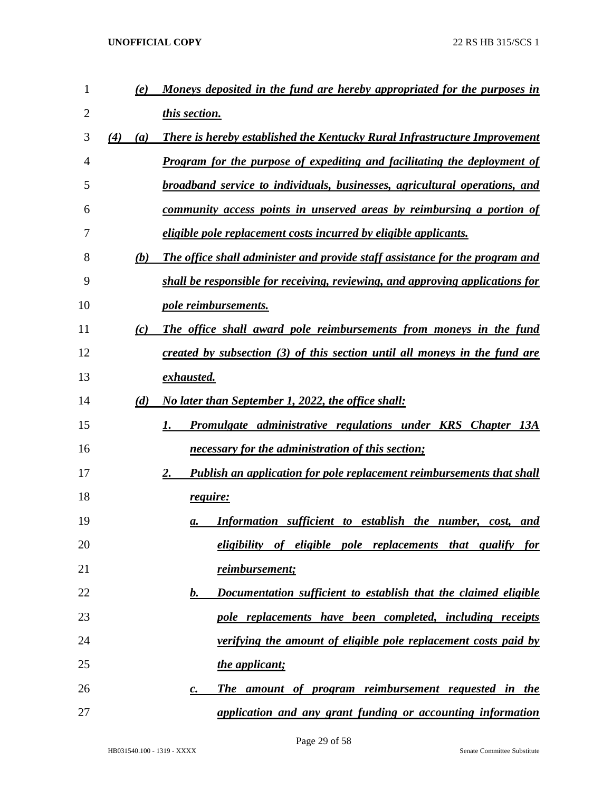| 1  | (e)        | Moneys deposited in the fund are hereby appropriated for the purposes in           |
|----|------------|------------------------------------------------------------------------------------|
| 2  |            | this section.                                                                      |
| 3  | (4)<br>(a) | There is hereby established the Kentucky Rural Infrastructure Improvement          |
| 4  |            | <b>Program for the purpose of expediting and facilitating the deployment of</b>    |
| 5  |            | broadband service to individuals, businesses, agricultural operations, and         |
| 6  |            | community access points in unserved areas by reimbursing a portion of              |
| 7  |            | <i>eligible pole replacement costs incurred by eligible applicants.</i>            |
| 8  | (b)        | The office shall administer and provide staff assistance for the program and       |
| 9  |            | shall be responsible for receiving, reviewing, and approving applications for      |
| 10 |            | pole reimbursements.                                                               |
| 11 | (c)        | The office shall award pole reimbursements from moneys in the fund                 |
| 12 |            | created by subsection (3) of this section until all moneys in the fund are         |
| 13 |            | exhausted.                                                                         |
| 14 | (d)        | No later than September 1, 2022, the office shall:                                 |
| 15 |            | Promulgate administrative regulations under KRS Chapter 13A<br>1.                  |
| 16 |            | necessary for the administration of this section;                                  |
| 17 |            | <b>Publish an application for pole replacement reimbursements that shall</b><br>2. |
| 18 |            | require:                                                                           |
| 19 |            | Information sufficient to establish the number, cost, and<br>а.                    |
| 20 |            | eligibility of eligible pole replacements that qualify for                         |
| 21 |            | reimbursement;                                                                     |
| 22 |            | Documentation sufficient to establish that the claimed eligible<br>$\bm{b}$ .      |
| 23 |            | pole replacements have been completed, including receipts                          |
| 24 |            | verifying the amount of eligible pole replacement costs paid by                    |
| 25 |            | the applicant;                                                                     |
| 26 |            | The amount of program reimbursement requested in the<br>$\boldsymbol{c}$ .         |
| 27 |            | application and any grant funding or accounting information                        |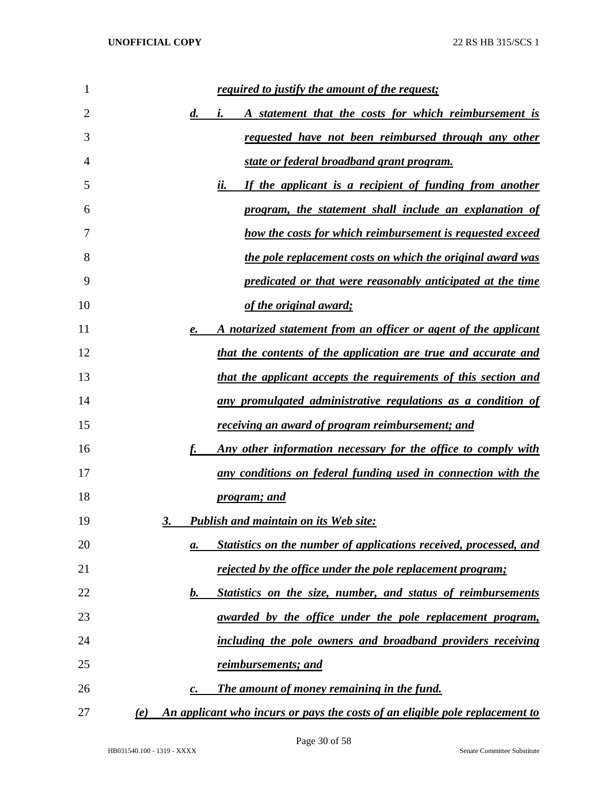| 1  | <u>required to justify the amount of the request;</u>                               |
|----|-------------------------------------------------------------------------------------|
| 2  | A statement that the costs for which reimbursement is<br>$\boldsymbol{d.}$<br>i.    |
| 3  | requested have not been reimbursed through any other                                |
| 4  | state or federal broadband grant program.                                           |
| 5  | ii.<br>If the applicant is a recipient of funding from another                      |
| 6  | program, the statement shall include an explanation of                              |
| 7  | how the costs for which reimbursement is requested exceed                           |
| 8  | the pole replacement costs on which the original award was                          |
| 9  | predicated or that were reasonably anticipated at the time                          |
| 10 | of the original award;                                                              |
| 11 | A notarized statement from an officer or agent of the applicant<br>e.               |
| 12 | that the contents of the application are true and accurate and                      |
| 13 | that the applicant accepts the requirements of this section and                     |
| 14 | any promulgated administrative regulations as a condition of                        |
| 15 | <u>receiving an award of program reimbursement; and</u>                             |
| 16 | <u>Any other information necessary for the office to comply with</u>                |
| 17 | any conditions on federal funding used in connection with the                       |
| 18 | <i>program; and</i>                                                                 |
| 19 | <b>Publish and maintain on its Web site:</b><br>3.                                  |
| 20 | Statistics on the number of applications received, processed, and<br>а.             |
| 21 | rejected by the office under the pole replacement program;                          |
| 22 | Statistics on the size, number, and status of reimbursements<br>b.                  |
| 23 | awarded by the office under the pole replacement program,                           |
| 24 | including the pole owners and broadband providers receiving                         |
| 25 | <u>reimbursements; and</u>                                                          |
| 26 | The amount of money remaining in the fund.<br>$\mathbf{c}$ .                        |
| 27 | An applicant who incurs or pays the costs of an eligible pole replacement to<br>(e) |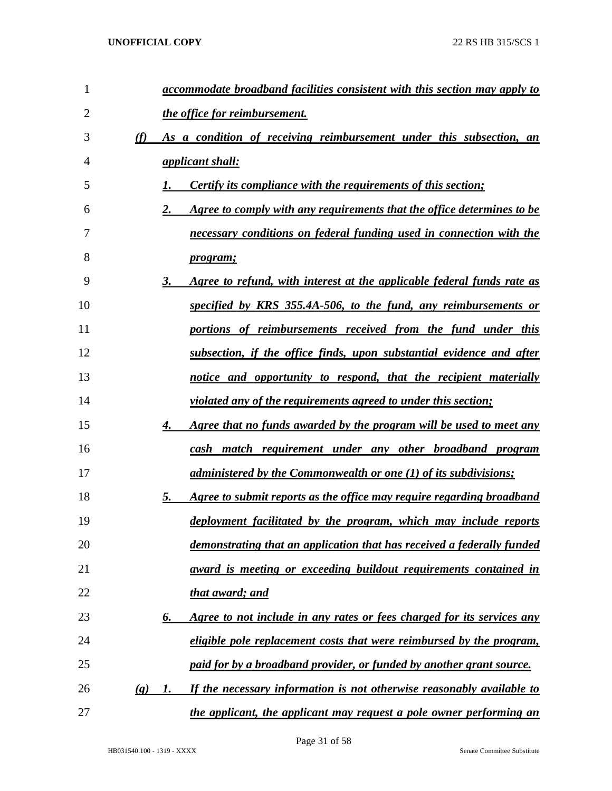| 1              |                            | accommodate broadband facilities consistent with this section may apply to         |
|----------------|----------------------------|------------------------------------------------------------------------------------|
| $\overline{2}$ |                            | the office for reimbursement.                                                      |
| 3              | (f)                        | As a condition of receiving reimbursement under this subsection, an                |
| 4              |                            | <i><u>applicant shall:</u></i>                                                     |
| 5              |                            | <i>Certify its compliance with the requirements of this section;</i>               |
| 6              |                            | Agree to comply with any requirements that the office determines to be<br>2.       |
| 7              |                            | necessary conditions on federal funding used in connection with the                |
| 8              |                            | <u>program;</u>                                                                    |
| 9              |                            | 3.<br>Agree to refund, with interest at the applicable federal funds rate as       |
| 10             |                            | specified by KRS 355.4A-506, to the fund, any reimbursements or                    |
| 11             |                            | portions of reimbursements received from the fund under this                       |
| 12             |                            | subsection, if the office finds, upon substantial evidence and after               |
| 13             |                            | notice and opportunity to respond, that the recipient materially                   |
| 14             |                            | <i>violated any of the requirements agreed to under this section;</i>              |
| 15             |                            | 4.<br><u>Agree that no funds awarded by the program will be used to meet any</u>   |
| 16             |                            | cash match requirement under any other broadband program                           |
| 17             |                            | administered by the Commonwealth or one $(1)$ of its subdivisions;                 |
| 18             |                            | 5.<br><u>Agree to submit reports as the office may require regarding broadband</u> |
| 19             |                            | deployment facilitated by the program, which may include reports                   |
| 20             |                            | demonstrating that an application that has received a federally funded             |
| 21             |                            | award is meeting or exceeding buildout requirements contained in                   |
| 22             |                            | <u>that award; and</u>                                                             |
| 23             |                            | Agree to not include in any rates or fees charged for its services any<br>6.       |
| 24             |                            | <u>eligible pole replacement costs that were reimbursed by the program,</u>        |
| 25             |                            | <u>paid for by a broadband provider, or funded by another grant source.</u>        |
| 26             | $\left( \mathbf{g}\right)$ | If the necessary information is not otherwise reasonably available to<br>1.        |
| 27             |                            | the applicant, the applicant may request a pole owner performing an                |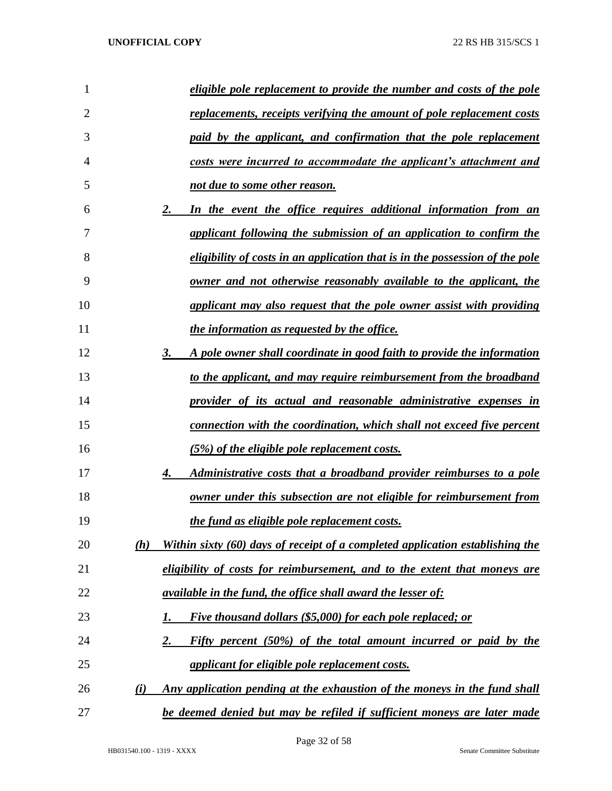| 1              | eligible pole replacement to provide the number and costs of the pole                |
|----------------|--------------------------------------------------------------------------------------|
| $\overline{2}$ | <u>replacements, receipts verifying the amount of pole replacement costs</u>         |
| 3              | paid by the applicant, and confirmation that the pole replacement                    |
| $\overline{4}$ | costs were incurred to accommodate the applicant's attachment and                    |
| 5              | not due to some other reason.                                                        |
| 6              | 2.<br>In the event the office requires additional information from an                |
| 7              | applicant following the submission of an application to confirm the                  |
| 8              | eligibility of costs in an application that is in the possession of the pole         |
| 9              | <u>owner and not otherwise reasonably available to the applicant, the</u>            |
| 10             | <u>applicant may also request that the pole owner assist with providing</u>          |
| 11             | <i>the information as requested by the office.</i>                                   |
| 12             | 3.<br>A pole owner shall coordinate in good faith to provide the information         |
| 13             | to the applicant, and may require reimbursement from the broadband                   |
| 14             | provider of its actual and reasonable administrative expenses in                     |
| 15             | <u>connection with the coordination, which shall not exceed five percent</u>         |
| 16             | <u>(5%) of the eligible pole replacement costs.</u>                                  |
| 17             | 4.<br>Administrative costs that a broadband provider reimburses to a pole            |
| 18             | <u>owner under this subsection are not eligible for reimbursement from</u>           |
| 19             | the fund as eligible pole replacement costs.                                         |
| 20             | Within sixty (60) days of receipt of a completed application establishing the<br>(h) |
| 21             | eligibility of costs for reimbursement, and to the extent that moneys are            |
| 22             | <i><u>available in the fund, the office shall award the lesser of:</u></i>           |
| 23             | Five thousand dollars (\$5,000) for each pole replaced; or<br>Ι.                     |
| 24             | 2.<br>Fifty percent (50%) of the total amount incurred or paid by the                |
| 25             | <i>applicant for eligible pole replacement costs.</i>                                |
| 26             | (i)<br>Any application pending at the exhaustion of the moneys in the fund shall     |
| 27             | be deemed denied but may be refiled if sufficient moneys are later made              |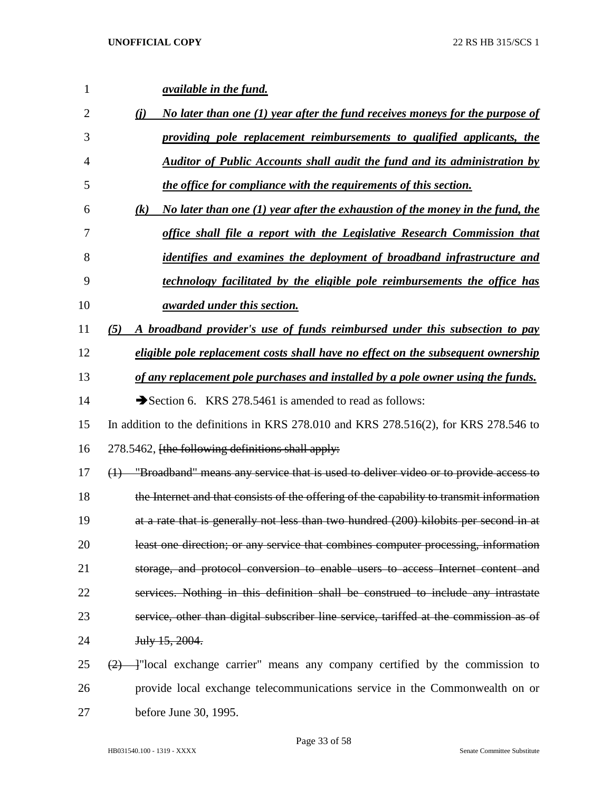| 1              | <i><u>available in the fund.</u></i>                                                      |
|----------------|-------------------------------------------------------------------------------------------|
| $\overline{2}$ | No later than one (1) year after the fund receives moneys for the purpose of<br>(i)       |
| 3              | providing pole replacement reimbursements to qualified applicants, the                    |
| $\overline{4}$ | <b>Auditor of Public Accounts shall audit the fund and its administration by</b>          |
| 5              | the office for compliance with the requirements of this section.                          |
| 6              | No later than one $(1)$ year after the exhaustion of the money in the fund, the<br>(k)    |
| 7              | office shall file a report with the Legislative Research Commission that                  |
| 8              | <i>identifies and examines the deployment of broadband infrastructure and</i>             |
| 9              | technology facilitated by the eligible pole reimbursements the office has                 |
| 10             | <i><u>awarded under this section.</u></i>                                                 |
| 11             | A broadband provider's use of funds reimbursed under this subsection to pay<br>(5)        |
| 12             | eligible pole replacement costs shall have no effect on the subsequent ownership          |
| 13             | of any replacement pole purchases and installed by a pole owner using the funds.          |
| 14             | Section 6. KRS 278.5461 is amended to read as follows:                                    |
| 15             | In addition to the definitions in KRS 278.010 and KRS 278.516(2), for KRS 278.546 to      |
| 16             | 278.5462, [the following definitions shall apply:                                         |
| 17             | $(1)$ "Broadband" means any service that is used to deliver video or to provide access to |
| 18             | the Internet and that consists of the offering of the capability to transmit information  |
| 19             | at a rate that is generally not less than two hundred (200) kilobits per second in at     |
| 20             | least one direction; or any service that combines computer processing, information        |
| 21             | storage, and protocol conversion to enable users to access Internet content and           |
| 22             | services. Nothing in this definition shall be construed to include any intrastate         |
| 23             | service, other than digital subscriber line service, tariffed at the commission as of     |
| 24             | July 15, 2004.                                                                            |
| 25             | $\frac{2}{2}$ - Tocal exchange carrier" means any company certified by the commission to  |
| 26             | provide local exchange telecommunications service in the Commonwealth on or               |
| 27             | before June 30, 1995.                                                                     |

Page 33 of 58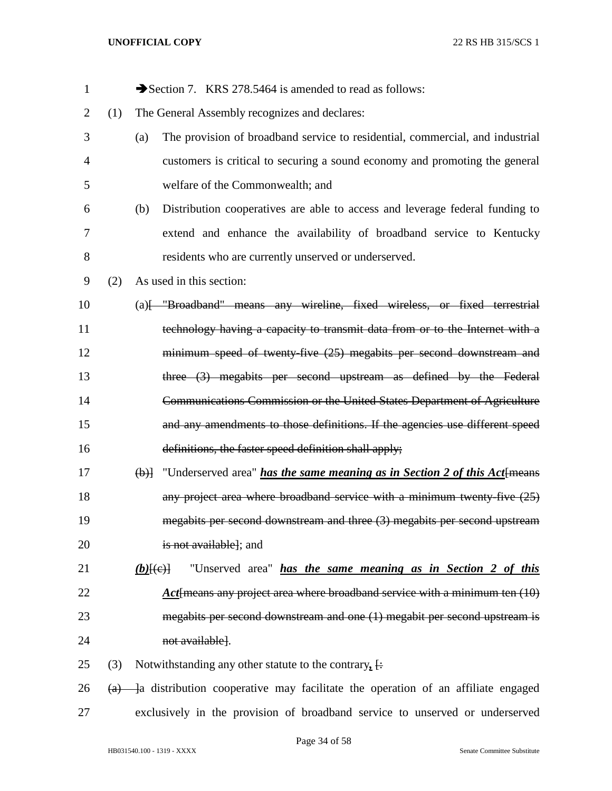| $\mathbf{1}$   |     | Section 7. KRS 278.5464 is amended to read as follows:                                  |
|----------------|-----|-----------------------------------------------------------------------------------------|
| $\overline{2}$ | (1) | The General Assembly recognizes and declares:                                           |
| 3              |     | The provision of broadband service to residential, commercial, and industrial<br>(a)    |
| $\overline{4}$ |     | customers is critical to securing a sound economy and promoting the general             |
| 5              |     | welfare of the Commonwealth; and                                                        |
| 6              |     | Distribution cooperatives are able to access and leverage federal funding to<br>(b)     |
| 7              |     | extend and enhance the availability of broadband service to Kentucky                    |
| 8              |     | residents who are currently unserved or underserved.                                    |
| 9              | (2) | As used in this section:                                                                |
| 10             |     | (a) Fill and The Broadband" means any wireline, fixed wireless, or fixed terrestrial    |
| 11             |     | technology having a capacity to transmit data from or to the Internet with a            |
| 12             |     | minimum speed of twenty-five (25) megabits per second downstream and                    |
| 13             |     | three (3) megabits per second upstream as defined by the Federal                        |
| 14             |     | Communications Commission or the United States Department of Agriculture                |
| 15             |     | and any amendments to those definitions. If the agencies use different speed            |
| 16             |     | definitions, the faster speed definition shall apply;                                   |
| 17             |     | $\Theta$ ) "Underserved area" has the same meaning as in Section 2 of this Act {means}  |
| 18             |     | any project area where broadband service with a minimum twenty-five $(25)$              |
| 19             |     | megabits per second downstream and three (3) megabits per second upstream               |
| 20             |     | is not available]; and                                                                  |
| 21             |     | "Unserved area" has the same meaning as in Section 2 of this<br>$(b)$ $(e)$ $\vdash$    |
| 22             |     | Act [means any project area where broadband service with a minimum ten $(10)$           |
| 23             |     | megabits per second downstream and one (1) megabit per second upstream is               |
| 24             |     | not available].                                                                         |
| 25             | (3) | Notwithstanding any other statute to the contrary, $\frac{1}{x}$                        |
| 26             |     | $(a)$ - a distribution cooperative may facilitate the operation of an affiliate engaged |
| 27             |     | exclusively in the provision of broadband service to unserved or underserved            |

Page 34 of 58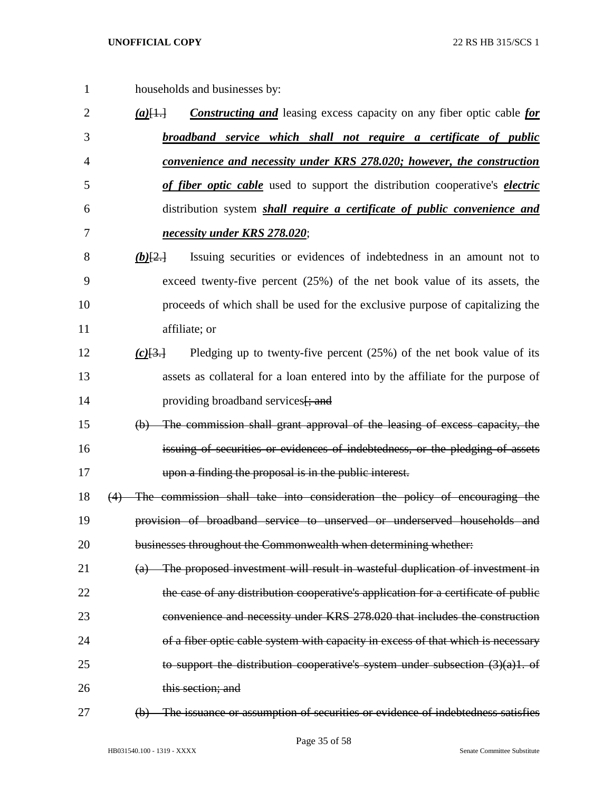- households and businesses by: *(a)*[1.] *Constructing and* leasing excess capacity on any fiber optic cable *for broadband service which shall not require a certificate of public*
- *convenience and necessity under KRS 278.020; however, the construction of fiber optic cable* used to support the distribution cooperative's *electric* distribution system *shall require a certificate of public convenience and necessity under KRS 278.020*;
- *(b)*[2.] Issuing securities or evidences of indebtedness in an amount not to exceed twenty-five percent (25%) of the net book value of its assets, the proceeds of which shall be used for the exclusive purpose of capitalizing the affiliate; or
- *(c)*[3.] Pledging up to twenty-five percent (25%) of the net book value of its assets as collateral for a loan entered into by the affiliate for the purpose of 14 providing broadband services [; and
- (b) The commission shall grant approval of the leasing of excess capacity, the issuing of securities or evidences of indebtedness, or the pledging of assets upon a finding the proposal is in the public interest.
- (4) The commission shall take into consideration the policy of encouraging the provision of broadband service to unserved or underserved households and 20 businesses throughout the Commonwealth when determining whether:
- (a) The proposed investment will result in wasteful duplication of investment in the case of any distribution cooperative's application for a certificate of public convenience and necessity under KRS 278.020 that includes the construction 24 of a fiber optic cable system with capacity in excess of that which is necessary 25 to support the distribution cooperative's system under subsection  $(3)(a)1$ . of 26 this section; and
- 
- (b) The issuance or assumption of securities or evidence of indebtedness satisfies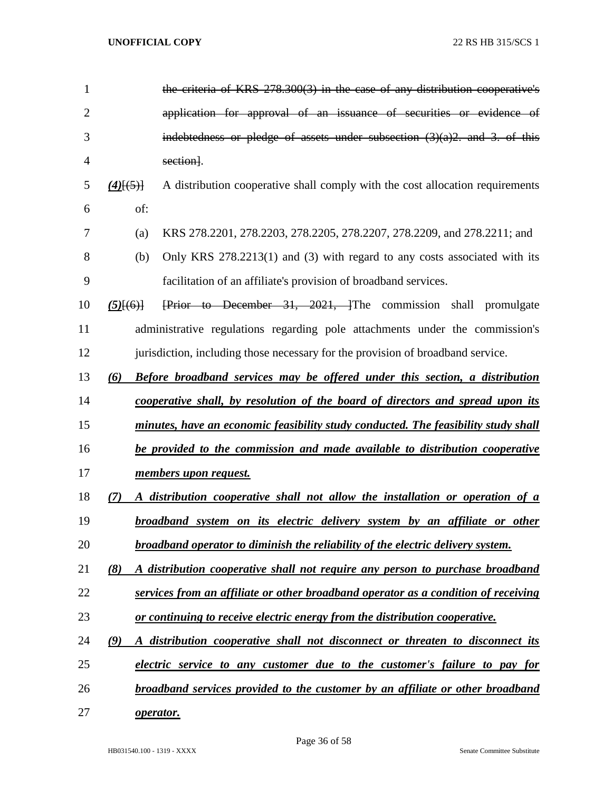| $\mathbf{1}$   |                                                                              | the criteria of KRS 278.300(3) in the case of any distribution cooperative's              |  |  |  |  |
|----------------|------------------------------------------------------------------------------|-------------------------------------------------------------------------------------------|--|--|--|--|
| $\overline{2}$ |                                                                              | application for approval of an issuance of securities or evidence of                      |  |  |  |  |
| 3              |                                                                              | indebtedness or pledge of assets under subsection $(3)(a)2$ , and 3, of this              |  |  |  |  |
| 4              |                                                                              | section].                                                                                 |  |  |  |  |
| 5              | $(4)$ [(5)]                                                                  | A distribution cooperative shall comply with the cost allocation requirements             |  |  |  |  |
| 6              | of:                                                                          |                                                                                           |  |  |  |  |
| 7              | (a)                                                                          | KRS 278.2201, 278.2203, 278.2205, 278.2207, 278.2209, and 278.2211; and                   |  |  |  |  |
| 8              | (b)                                                                          | Only KRS 278.2213(1) and (3) with regard to any costs associated with its                 |  |  |  |  |
| 9              |                                                                              | facilitation of an affiliate's provision of broadband services.                           |  |  |  |  |
| 10             | $(5)$ $(6)$ }                                                                | Frior to December 31, 2021, The commission shall promulgate                               |  |  |  |  |
| 11             |                                                                              | administrative regulations regarding pole attachments under the commission's              |  |  |  |  |
| 12             |                                                                              | jurisdiction, including those necessary for the provision of broadband service.           |  |  |  |  |
| 13             | (6)                                                                          | <b>Before broadband services may be offered under this section, a distribution</b>        |  |  |  |  |
| 14             |                                                                              | cooperative shall, by resolution of the board of directors and spread upon its            |  |  |  |  |
| 15             |                                                                              | <u>minutes, have an economic feasibility study conducted. The feasibility study shall</u> |  |  |  |  |
| 16             | be provided to the commission and made available to distribution cooperative |                                                                                           |  |  |  |  |
| 17             | <u>members upon request.</u>                                                 |                                                                                           |  |  |  |  |
| 18             | (7)                                                                          | A distribution cooperative shall not allow the installation or operation of a             |  |  |  |  |
| 19             |                                                                              | broadband system on its electric delivery system by an affiliate or other                 |  |  |  |  |
| 20             |                                                                              | broadband operator to diminish the reliability of the electric delivery system.           |  |  |  |  |
| 21             | (8)                                                                          | A distribution cooperative shall not require any person to purchase broadband             |  |  |  |  |
| 22             |                                                                              | services from an affiliate or other broadband operator as a condition of receiving        |  |  |  |  |
| 23             |                                                                              | or continuing to receive electric energy from the distribution cooperative.               |  |  |  |  |
| 24             | (9)                                                                          | A distribution cooperative shall not disconnect or threaten to disconnect its             |  |  |  |  |
| 25             |                                                                              | electric service to any customer due to the customer's failure to pay for                 |  |  |  |  |
| 26             |                                                                              | broadband services provided to the customer by an affiliate or other broadband            |  |  |  |  |
| 27             |                                                                              | operator.                                                                                 |  |  |  |  |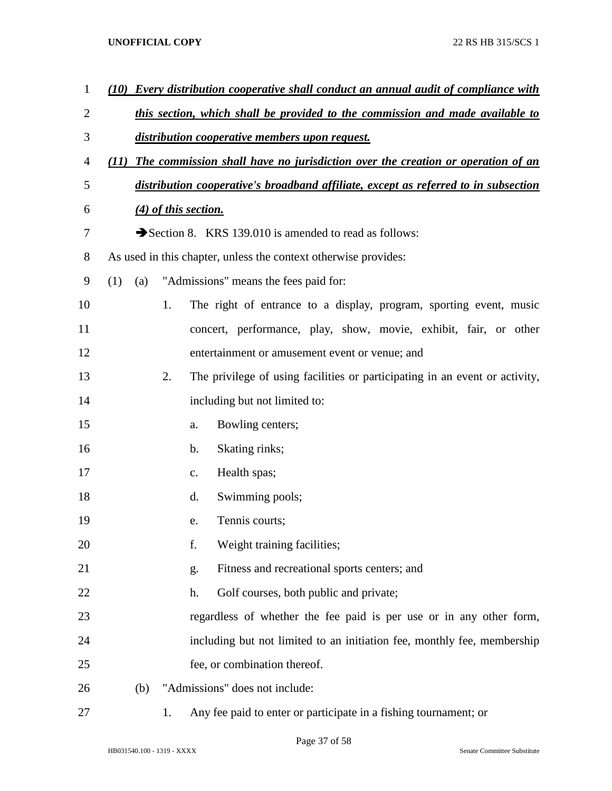| $\mathbf{1}$   | (10)                                                                          |     |    | <b>Every distribution cooperative shall conduct an annual audit of compliance with</b> |  |
|----------------|-------------------------------------------------------------------------------|-----|----|----------------------------------------------------------------------------------------|--|
| $\overline{2}$ | this section, which shall be provided to the commission and made available to |     |    |                                                                                        |  |
| 3              | distribution cooperative members upon request.                                |     |    |                                                                                        |  |
| 4              | (11)                                                                          |     |    | The commission shall have no jurisdiction over the creation or operation of an         |  |
| 5              |                                                                               |     |    | distribution cooperative's broadband affiliate, except as referred to in subsection    |  |
| 6              |                                                                               |     |    | $(4)$ of this section.                                                                 |  |
| 7              |                                                                               |     |    | Section 8. KRS 139.010 is amended to read as follows:                                  |  |
| 8              |                                                                               |     |    | As used in this chapter, unless the context otherwise provides:                        |  |
| 9              | (1)                                                                           | (a) |    | "Admissions" means the fees paid for:                                                  |  |
| 10             |                                                                               |     | 1. | The right of entrance to a display, program, sporting event, music                     |  |
| 11             |                                                                               |     |    | concert, performance, play, show, movie, exhibit, fair, or other                       |  |
| 12             |                                                                               |     |    | entertainment or amusement event or venue; and                                         |  |
| 13             |                                                                               |     | 2. | The privilege of using facilities or participating in an event or activity,            |  |
| 14             |                                                                               |     |    | including but not limited to:                                                          |  |
| 15             |                                                                               |     |    | Bowling centers;<br>a.                                                                 |  |
| 16             |                                                                               |     |    | Skating rinks;<br>b.                                                                   |  |
| 17             |                                                                               |     |    | Health spas;<br>c.                                                                     |  |
| 18             |                                                                               |     |    | Swimming pools;<br>d.                                                                  |  |
| 19             |                                                                               |     |    | Tennis courts;<br>e.                                                                   |  |
| 20             |                                                                               |     |    | f.<br>Weight training facilities;                                                      |  |
| 21             |                                                                               |     |    | Fitness and recreational sports centers; and<br>g.                                     |  |
| 22             |                                                                               |     |    | Golf courses, both public and private;<br>h.                                           |  |
| 23             |                                                                               |     |    | regardless of whether the fee paid is per use or in any other form,                    |  |
| 24             |                                                                               |     |    | including but not limited to an initiation fee, monthly fee, membership                |  |
| 25             |                                                                               |     |    | fee, or combination thereof.                                                           |  |
| 26             |                                                                               | (b) |    | "Admissions" does not include:                                                         |  |
| 27             |                                                                               |     | 1. | Any fee paid to enter or participate in a fishing tournament; or                       |  |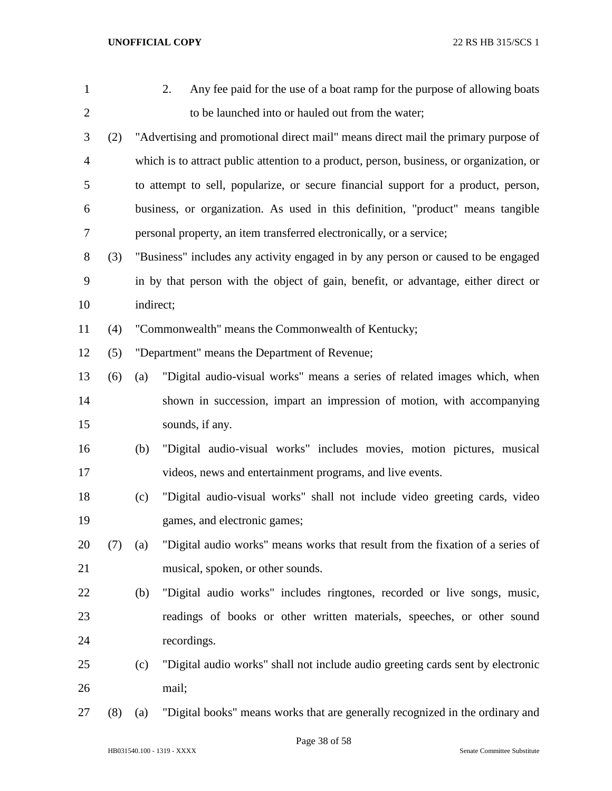| 1              |     |           | Any fee paid for the use of a boat ramp for the purpose of allowing boats<br>2.          |
|----------------|-----|-----------|------------------------------------------------------------------------------------------|
| $\overline{2}$ |     |           | to be launched into or hauled out from the water;                                        |
| 3              | (2) |           | "Advertising and promotional direct mail" means direct mail the primary purpose of       |
| $\overline{4}$ |     |           | which is to attract public attention to a product, person, business, or organization, or |
| 5              |     |           | to attempt to sell, popularize, or secure financial support for a product, person,       |
| 6              |     |           | business, or organization. As used in this definition, "product" means tangible          |
| 7              |     |           | personal property, an item transferred electronically, or a service;                     |
| 8              | (3) |           | "Business" includes any activity engaged in by any person or caused to be engaged        |
| 9              |     |           | in by that person with the object of gain, benefit, or advantage, either direct or       |
| 10             |     | indirect; |                                                                                          |
| 11             | (4) |           | "Commonwealth" means the Commonwealth of Kentucky;                                       |
| 12             | (5) |           | "Department" means the Department of Revenue;                                            |
| 13             | (6) | (a)       | "Digital audio-visual works" means a series of related images which, when                |
| 14             |     |           | shown in succession, impart an impression of motion, with accompanying                   |
| 15             |     |           | sounds, if any.                                                                          |
| 16             |     | (b)       | "Digital audio-visual works" includes movies, motion pictures, musical                   |
| 17             |     |           | videos, news and entertainment programs, and live events.                                |
| 18             |     | (c)       | "Digital audio-visual works" shall not include video greeting cards, video               |
| 19             |     |           | games, and electronic games;                                                             |
| 20             | (7) | (a)       | "Digital audio works" means works that result from the fixation of a series of           |
| 21             |     |           | musical, spoken, or other sounds.                                                        |
| 22             |     | (b)       | "Digital audio works" includes ringtones, recorded or live songs, music,                 |
| 23             |     |           | readings of books or other written materials, speeches, or other sound                   |
| 24             |     |           | recordings.                                                                              |
| 25             |     | (c)       | "Digital audio works" shall not include audio greeting cards sent by electronic          |
| 26             |     |           | mail;                                                                                    |
| 27             | (8) | (a)       | "Digital books" means works that are generally recognized in the ordinary and            |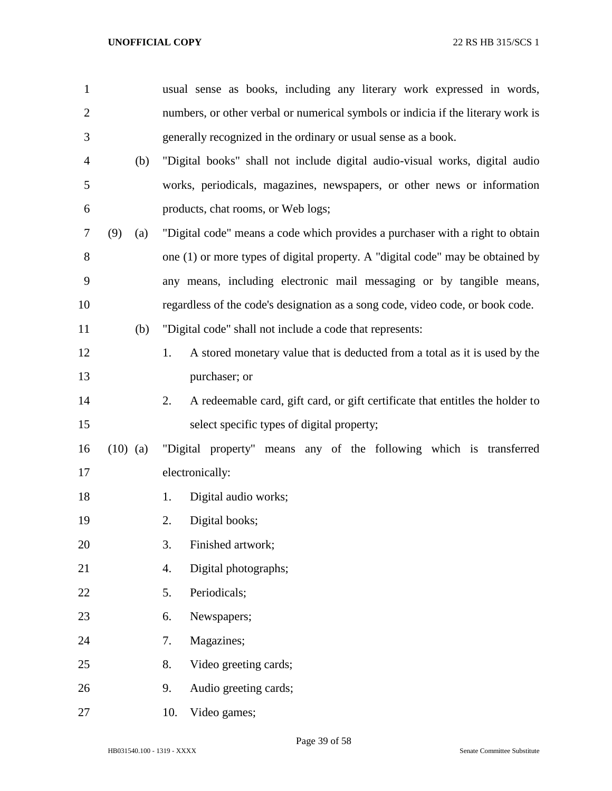| 1              |            | usual sense as books, including any literary work expressed in words,               |  |  |  |  |
|----------------|------------|-------------------------------------------------------------------------------------|--|--|--|--|
| $\overline{2}$ |            | numbers, or other verbal or numerical symbols or indicia if the literary work is    |  |  |  |  |
| 3              |            | generally recognized in the ordinary or usual sense as a book.                      |  |  |  |  |
| $\overline{4}$ | (b)        | "Digital books" shall not include digital audio-visual works, digital audio         |  |  |  |  |
| 5              |            | works, periodicals, magazines, newspapers, or other news or information             |  |  |  |  |
| 6              |            | products, chat rooms, or Web logs;                                                  |  |  |  |  |
| $\tau$         | (9)<br>(a) | "Digital code" means a code which provides a purchaser with a right to obtain       |  |  |  |  |
| 8              |            | one (1) or more types of digital property. A "digital code" may be obtained by      |  |  |  |  |
| 9              |            | any means, including electronic mail messaging or by tangible means,                |  |  |  |  |
| 10             |            | regardless of the code's designation as a song code, video code, or book code.      |  |  |  |  |
| 11             | (b)        | "Digital code" shall not include a code that represents:                            |  |  |  |  |
| 12             |            | 1.<br>A stored monetary value that is deducted from a total as it is used by the    |  |  |  |  |
| 13             |            | purchaser; or                                                                       |  |  |  |  |
| 14             |            | A redeemable card, gift card, or gift certificate that entitles the holder to<br>2. |  |  |  |  |
| 15             |            | select specific types of digital property;                                          |  |  |  |  |
| 16             | $(10)$ (a) | "Digital property" means any of the following which is transferred                  |  |  |  |  |
| 17             |            | electronically:                                                                     |  |  |  |  |
| 18             |            | Digital audio works;<br>1.                                                          |  |  |  |  |
| 19             |            | Digital books;<br>2.                                                                |  |  |  |  |
| 20             |            | 3.<br>Finished artwork;                                                             |  |  |  |  |
| 21             |            | 4.<br>Digital photographs;                                                          |  |  |  |  |
| 22             |            | 5.<br>Periodicals;                                                                  |  |  |  |  |
| 23             |            | Newspapers;<br>6.                                                                   |  |  |  |  |
| 24             |            | Magazines;<br>7.                                                                    |  |  |  |  |
| 25             |            | 8.<br>Video greeting cards;                                                         |  |  |  |  |
| 26             |            | Audio greeting cards;<br>9.                                                         |  |  |  |  |
| 27             |            | Video games;<br>10.                                                                 |  |  |  |  |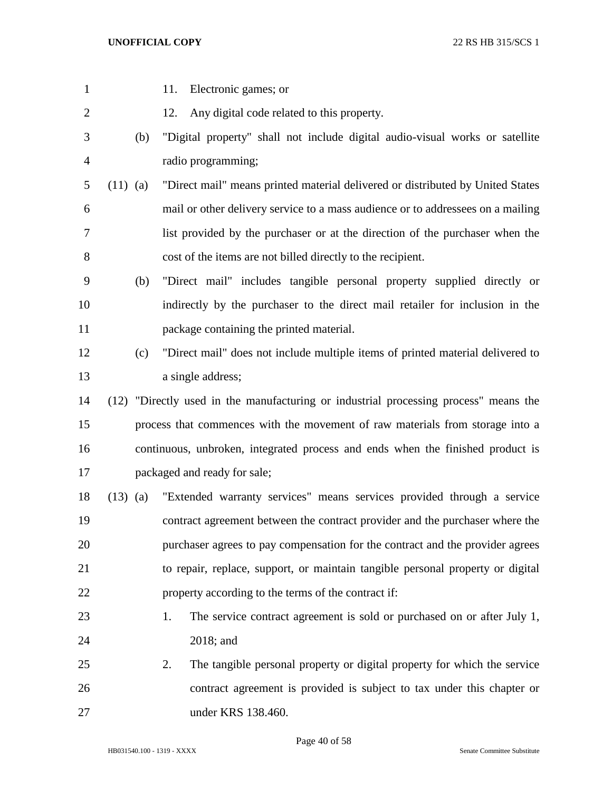| $\mathbf{1}$   |            |     | 11.<br>Electronic games; or                                                          |
|----------------|------------|-----|--------------------------------------------------------------------------------------|
| $\overline{2}$ |            |     | Any digital code related to this property.<br>12.                                    |
| 3              |            | (b) | "Digital property" shall not include digital audio-visual works or satellite         |
| $\overline{4}$ |            |     | radio programming;                                                                   |
| 5              | $(11)$ (a) |     | "Direct mail" means printed material delivered or distributed by United States       |
| 6              |            |     | mail or other delivery service to a mass audience or to addressees on a mailing      |
| 7              |            |     | list provided by the purchaser or at the direction of the purchaser when the         |
| 8              |            |     | cost of the items are not billed directly to the recipient.                          |
| 9              |            | (b) | "Direct mail" includes tangible personal property supplied directly or               |
| 10             |            |     | indirectly by the purchaser to the direct mail retailer for inclusion in the         |
| 11             |            |     | package containing the printed material.                                             |
| 12             |            | (c) | "Direct mail" does not include multiple items of printed material delivered to       |
| 13             |            |     | a single address;                                                                    |
| 14             |            |     | (12) "Directly used in the manufacturing or industrial processing process" means the |
| 15             |            |     | process that commences with the movement of raw materials from storage into a        |
| 16             |            |     | continuous, unbroken, integrated process and ends when the finished product is       |
| 17             |            |     | packaged and ready for sale;                                                         |
| 18             | $(13)$ (a) |     | "Extended warranty services" means services provided through a service               |
| 19             |            |     | contract agreement between the contract provider and the purchaser where the         |
| 20             |            |     | purchaser agrees to pay compensation for the contract and the provider agrees        |
| 21             |            |     | to repair, replace, support, or maintain tangible personal property or digital       |
| 22             |            |     | property according to the terms of the contract if:                                  |
| 23             |            |     | The service contract agreement is sold or purchased on or after July 1,<br>1.        |
| 24             |            |     | 2018; and                                                                            |
| 25             |            |     | The tangible personal property or digital property for which the service<br>2.       |
| 26             |            |     | contract agreement is provided is subject to tax under this chapter or               |
| 27             |            |     | under KRS 138.460.                                                                   |

Page 40 of 58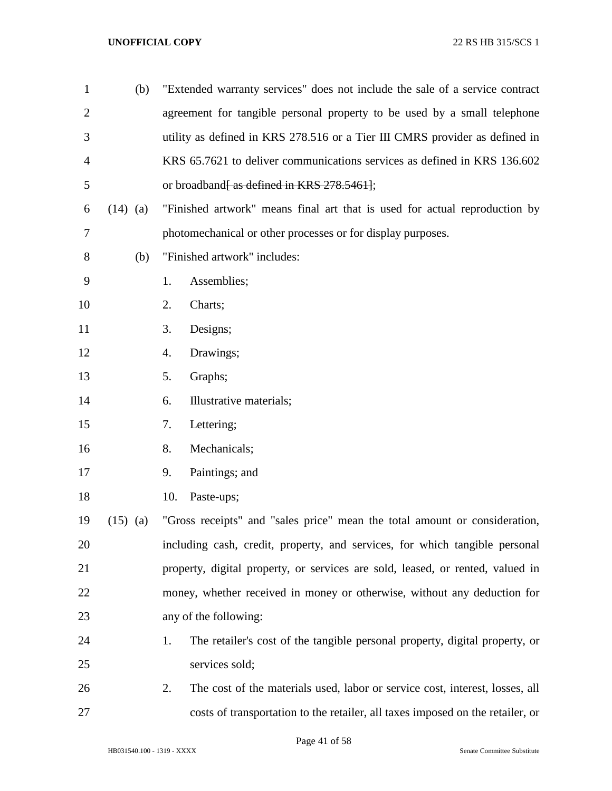| $\mathbf{1}$   | (b)        | "Extended warranty services" does not include the sale of a service contract       |  |  |  |  |
|----------------|------------|------------------------------------------------------------------------------------|--|--|--|--|
| $\overline{2}$ |            | agreement for tangible personal property to be used by a small telephone           |  |  |  |  |
| 3              |            | utility as defined in KRS 278.516 or a Tier III CMRS provider as defined in        |  |  |  |  |
| 4              |            | KRS 65.7621 to deliver communications services as defined in KRS 136.602           |  |  |  |  |
| 5              |            | or broadband <del>[as defined in KRS 278.5461]</del> ;                             |  |  |  |  |
| 6              | $(14)$ (a) | "Finished artwork" means final art that is used for actual reproduction by         |  |  |  |  |
| 7              |            | photomechanical or other processes or for display purposes.                        |  |  |  |  |
| 8              | (b)        | "Finished artwork" includes:                                                       |  |  |  |  |
| 9              |            | 1.<br>Assemblies;                                                                  |  |  |  |  |
| 10             |            | 2.<br>Charts;                                                                      |  |  |  |  |
| 11             |            | 3.<br>Designs;                                                                     |  |  |  |  |
| 12             |            | 4.<br>Drawings;                                                                    |  |  |  |  |
| 13             |            | 5.<br>Graphs;                                                                      |  |  |  |  |
| 14             |            | Illustrative materials;<br>6.                                                      |  |  |  |  |
| 15             |            | Lettering;<br>7.                                                                   |  |  |  |  |
| 16             |            | Mechanicals;<br>8.                                                                 |  |  |  |  |
| 17             |            | Paintings; and<br>9.                                                               |  |  |  |  |
| 18             |            | 10.<br>Paste-ups;                                                                  |  |  |  |  |
| 19             | $(15)$ (a) | "Gross receipts" and "sales price" mean the total amount or consideration,         |  |  |  |  |
| 20             |            | including cash, credit, property, and services, for which tangible personal        |  |  |  |  |
| 21             |            | property, digital property, or services are sold, leased, or rented, valued in     |  |  |  |  |
| 22             |            | money, whether received in money or otherwise, without any deduction for           |  |  |  |  |
| 23             |            | any of the following:                                                              |  |  |  |  |
| 24             |            | The retailer's cost of the tangible personal property, digital property, or<br>1.  |  |  |  |  |
| 25             |            | services sold;                                                                     |  |  |  |  |
| 26             |            | 2.<br>The cost of the materials used, labor or service cost, interest, losses, all |  |  |  |  |
| 27             |            | costs of transportation to the retailer, all taxes imposed on the retailer, or     |  |  |  |  |

Page 41 of 58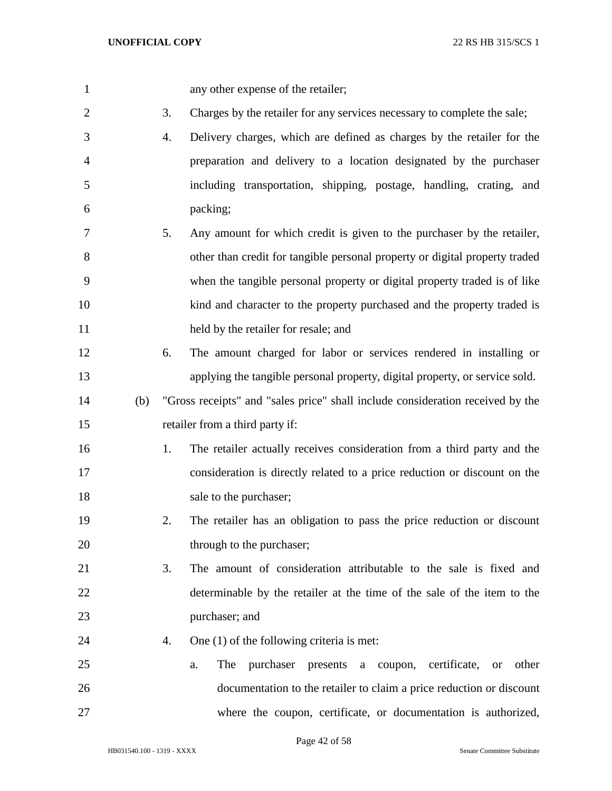any other expense of the retailer;

3. Charges by the retailer for any services necessary to complete the sale;

 4. Delivery charges, which are defined as charges by the retailer for the preparation and delivery to a location designated by the purchaser including transportation, shipping, postage, handling, crating, and packing;

- 5. Any amount for which credit is given to the purchaser by the retailer, other than credit for tangible personal property or digital property traded when the tangible personal property or digital property traded is of like kind and character to the property purchased and the property traded is 11 held by the retailer for resale; and
- 6. The amount charged for labor or services rendered in installing or applying the tangible personal property, digital property, or service sold.
- (b) "Gross receipts" and "sales price" shall include consideration received by the retailer from a third party if:
- 1. The retailer actually receives consideration from a third party and the consideration is directly related to a price reduction or discount on the 18 sale to the purchaser;
- 2. The retailer has an obligation to pass the price reduction or discount 20 through to the purchaser;
- 3. The amount of consideration attributable to the sale is fixed and determinable by the retailer at the time of the sale of the item to the purchaser; and
- 24 4. One (1) of the following criteria is met:
- a. The purchaser presents a coupon, certificate, or other documentation to the retailer to claim a price reduction or discount where the coupon, certificate, or documentation is authorized,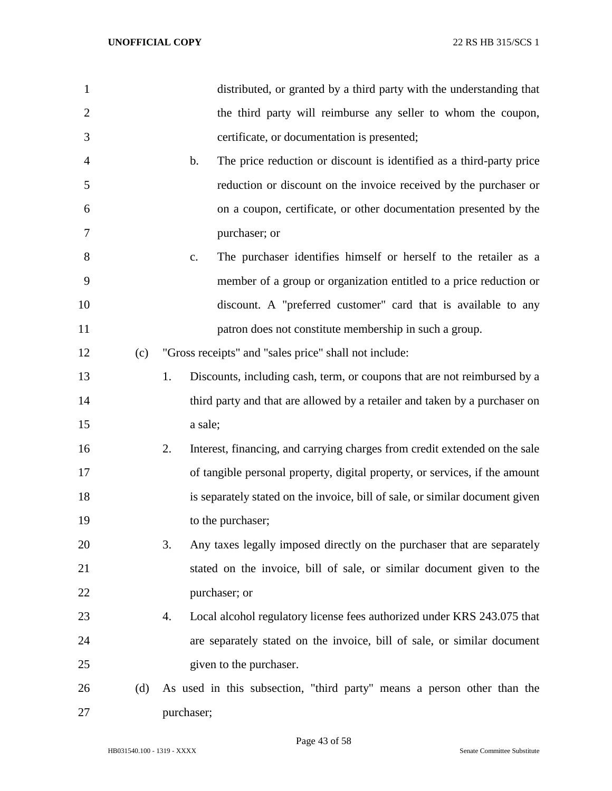| $\mathbf{1}$   |     | distributed, or granted by a third party with the understanding that                   |
|----------------|-----|----------------------------------------------------------------------------------------|
| $\overline{2}$ |     | the third party will reimburse any seller to whom the coupon,                          |
| 3              |     | certificate, or documentation is presented;                                            |
| $\overline{4}$ |     | The price reduction or discount is identified as a third-party price<br>$\mathbf{b}$ . |
| 5              |     | reduction or discount on the invoice received by the purchaser or                      |
| 6              |     | on a coupon, certificate, or other documentation presented by the                      |
| 7              |     | purchaser; or                                                                          |
| 8              |     | The purchaser identifies himself or herself to the retailer as a<br>$\mathbf{c}$ .     |
| 9              |     | member of a group or organization entitled to a price reduction or                     |
| 10             |     | discount. A "preferred customer" card that is available to any                         |
| 11             |     | patron does not constitute membership in such a group.                                 |
| 12             | (c) | "Gross receipts" and "sales price" shall not include:                                  |
| 13             |     | Discounts, including cash, term, or coupons that are not reimbursed by a<br>1.         |
| 14             |     | third party and that are allowed by a retailer and taken by a purchaser on             |
| 15             |     | a sale;                                                                                |
| 16             |     | Interest, financing, and carrying charges from credit extended on the sale<br>2.       |
| 17             |     | of tangible personal property, digital property, or services, if the amount            |
| 18             |     | is separately stated on the invoice, bill of sale, or similar document given           |
| 19             |     | to the purchaser;                                                                      |
| 20             |     | 3.<br>Any taxes legally imposed directly on the purchaser that are separately          |
| 21             |     | stated on the invoice, bill of sale, or similar document given to the                  |
| 22             |     | purchaser; or                                                                          |
| 23             |     | Local alcohol regulatory license fees authorized under KRS 243.075 that<br>4.          |
| 24             |     | are separately stated on the invoice, bill of sale, or similar document                |
| 25             |     | given to the purchaser.                                                                |
| 26             | (d) | As used in this subsection, "third party" means a person other than the                |
| 27             |     | purchaser;                                                                             |

Page 43 of 58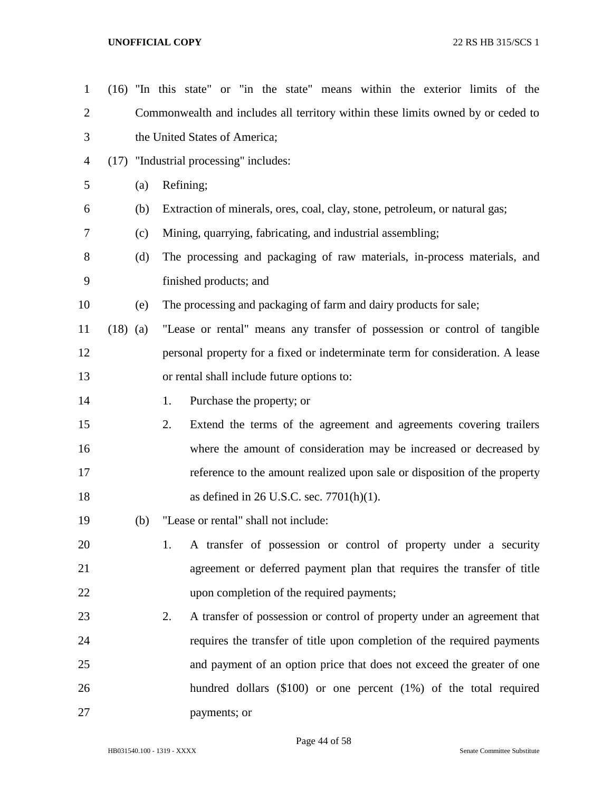| $\mathbf{1}$   |            |     | (16) "In this state" or "in the state" means within the exterior limits of the   |  |  |  |  |  |
|----------------|------------|-----|----------------------------------------------------------------------------------|--|--|--|--|--|
| $\overline{2}$ |            |     | Commonwealth and includes all territory within these limits owned by or ceded to |  |  |  |  |  |
| 3              |            |     | the United States of America;                                                    |  |  |  |  |  |
| 4              |            |     | (17) "Industrial processing" includes:                                           |  |  |  |  |  |
| 5              |            | (a) | Refining;                                                                        |  |  |  |  |  |
| 6              |            | (b) | Extraction of minerals, ores, coal, clay, stone, petroleum, or natural gas;      |  |  |  |  |  |
| 7              |            | (c) | Mining, quarrying, fabricating, and industrial assembling;                       |  |  |  |  |  |
| 8              |            | (d) | The processing and packaging of raw materials, in-process materials, and         |  |  |  |  |  |
| 9              |            |     | finished products; and                                                           |  |  |  |  |  |
| 10             |            | (e) | The processing and packaging of farm and dairy products for sale;                |  |  |  |  |  |
| 11             | $(18)$ (a) |     | "Lease or rental" means any transfer of possession or control of tangible        |  |  |  |  |  |
| 12             |            |     | personal property for a fixed or indeterminate term for consideration. A lease   |  |  |  |  |  |
| 13             |            |     | or rental shall include future options to:                                       |  |  |  |  |  |
| 14             |            |     | 1.<br>Purchase the property; or                                                  |  |  |  |  |  |
| 15             |            |     | 2.<br>Extend the terms of the agreement and agreements covering trailers         |  |  |  |  |  |
| 16             |            |     | where the amount of consideration may be increased or decreased by               |  |  |  |  |  |
| 17             |            |     | reference to the amount realized upon sale or disposition of the property        |  |  |  |  |  |
| 18             |            |     | as defined in 26 U.S.C. sec. $7701(h)(1)$ .                                      |  |  |  |  |  |
| 19             |            | (b) | "Lease or rental" shall not include:                                             |  |  |  |  |  |
| 20             |            |     | A transfer of possession or control of property under a security<br>1.           |  |  |  |  |  |
| 21             |            |     | agreement or deferred payment plan that requires the transfer of title           |  |  |  |  |  |
| 22             |            |     | upon completion of the required payments;                                        |  |  |  |  |  |
| 23             |            |     | A transfer of possession or control of property under an agreement that<br>2.    |  |  |  |  |  |
| 24             |            |     | requires the transfer of title upon completion of the required payments          |  |  |  |  |  |
| 25             |            |     | and payment of an option price that does not exceed the greater of one           |  |  |  |  |  |
| 26             |            |     | hundred dollars $(\$100)$ or one percent $(1%)$ of the total required            |  |  |  |  |  |
| 27             |            |     | payments; or                                                                     |  |  |  |  |  |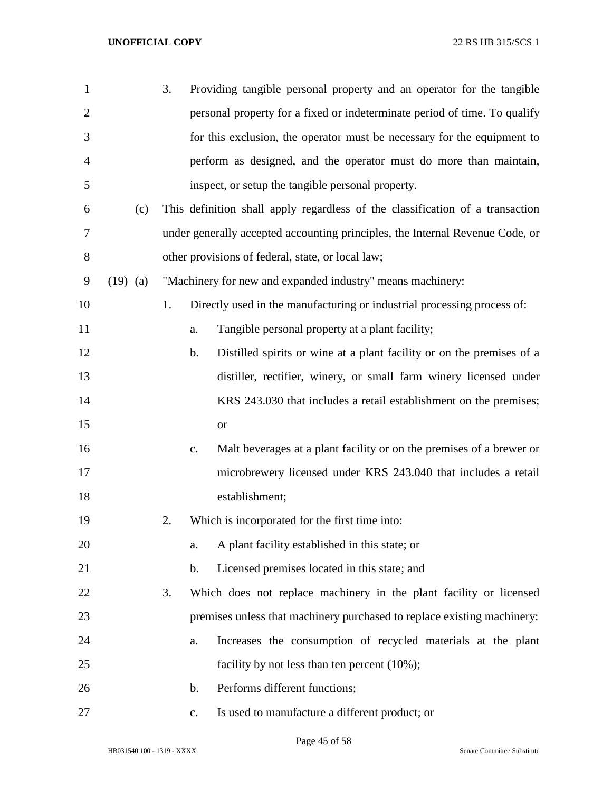| $\mathbf{1}$   |            | 3. |                | Providing tangible personal property and an operator for the tangible         |
|----------------|------------|----|----------------|-------------------------------------------------------------------------------|
| $\overline{2}$ |            |    |                | personal property for a fixed or indeterminate period of time. To qualify     |
| 3              |            |    |                | for this exclusion, the operator must be necessary for the equipment to       |
| 4              |            |    |                | perform as designed, and the operator must do more than maintain,             |
| 5              |            |    |                | inspect, or setup the tangible personal property.                             |
| 6              | (c)        |    |                | This definition shall apply regardless of the classification of a transaction |
| 7              |            |    |                | under generally accepted accounting principles, the Internal Revenue Code, or |
| 8              |            |    |                | other provisions of federal, state, or local law;                             |
| 9              | $(19)$ (a) |    |                | "Machinery for new and expanded industry" means machinery:                    |
| 10             |            | 1. |                | Directly used in the manufacturing or industrial processing process of:       |
| 11             |            |    | a.             | Tangible personal property at a plant facility;                               |
| 12             |            |    | b.             | Distilled spirits or wine at a plant facility or on the premises of a         |
| 13             |            |    |                | distiller, rectifier, winery, or small farm winery licensed under             |
| 14             |            |    |                | KRS 243.030 that includes a retail establishment on the premises;             |
| 15             |            |    |                | <b>or</b>                                                                     |
| 16             |            |    | c.             | Malt beverages at a plant facility or on the premises of a brewer or          |
| 17             |            |    |                | microbrewery licensed under KRS 243.040 that includes a retail                |
| 18             |            |    |                | establishment;                                                                |
| 19             |            | 2. |                | Which is incorporated for the first time into:                                |
| 20             |            |    | a.             | A plant facility established in this state; or                                |
| 21             |            |    | b.             | Licensed premises located in this state; and                                  |
| 22             |            | 3. |                | Which does not replace machinery in the plant facility or licensed            |
| 23             |            |    |                | premises unless that machinery purchased to replace existing machinery:       |
| 24             |            |    | a.             | Increases the consumption of recycled materials at the plant                  |
| 25             |            |    |                | facility by not less than ten percent $(10\%)$ ;                              |
| 26             |            |    | b.             | Performs different functions;                                                 |
| 27             |            |    | $\mathbf{c}$ . | Is used to manufacture a different product; or                                |

Page 45 of 58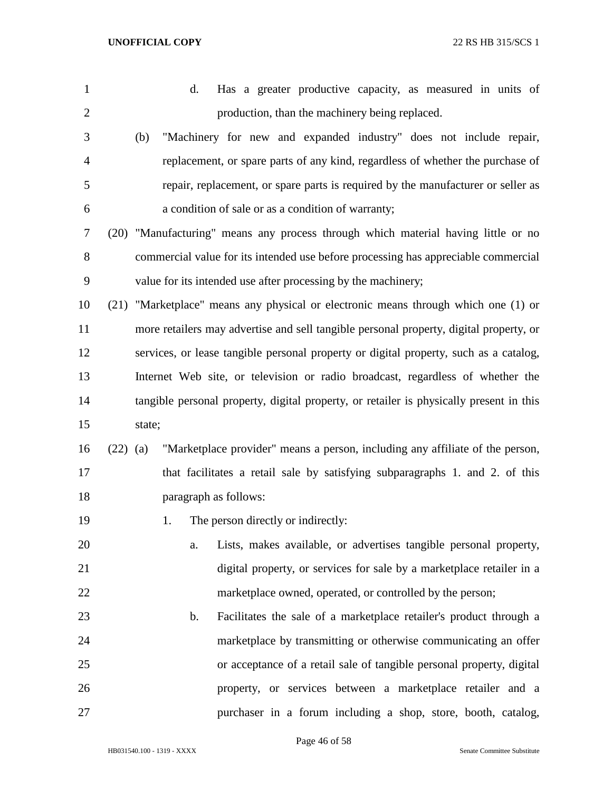| 1              |            | Has a greater productive capacity, as measured in units of<br>d.                        |
|----------------|------------|-----------------------------------------------------------------------------------------|
| $\overline{2}$ |            | production, than the machinery being replaced.                                          |
| 3              |            | "Machinery for new and expanded industry" does not include repair,<br>(b)               |
| $\overline{4}$ |            | replacement, or spare parts of any kind, regardless of whether the purchase of          |
| 5              |            | repair, replacement, or spare parts is required by the manufacturer or seller as        |
| 6              |            | a condition of sale or as a condition of warranty;                                      |
| 7              |            | (20) "Manufacturing" means any process through which material having little or no       |
| 8              |            | commercial value for its intended use before processing has appreciable commercial      |
| 9              |            | value for its intended use after processing by the machinery;                           |
| 10             |            | (21) "Marketplace" means any physical or electronic means through which one (1) or      |
| 11             |            | more retailers may advertise and sell tangible personal property, digital property, or  |
| 12             |            | services, or lease tangible personal property or digital property, such as a catalog,   |
| 13             |            | Internet Web site, or television or radio broadcast, regardless of whether the          |
| 14             |            | tangible personal property, digital property, or retailer is physically present in this |
| 15             |            | state;                                                                                  |
| 16             | $(22)$ (a) | "Marketplace provider" means a person, including any affiliate of the person,           |
| 17             |            | that facilitates a retail sale by satisfying subparagraphs 1. and 2. of this            |
| 18             |            | paragraph as follows:                                                                   |
| 19             |            | The person directly or indirectly:<br>1.                                                |
| 20             |            | Lists, makes available, or advertises tangible personal property,<br>a.                 |
| 21             |            | digital property, or services for sale by a marketplace retailer in a                   |
| 22             |            | marketplace owned, operated, or controlled by the person;                               |
| 23             |            | Facilitates the sale of a marketplace retailer's product through a<br>$\mathbf b$ .     |
| 24             |            | marketplace by transmitting or otherwise communicating an offer                         |
| 25             |            | or acceptance of a retail sale of tangible personal property, digital                   |
| 26             |            | property, or services between a marketplace retailer and a                              |
| 27             |            | purchaser in a forum including a shop, store, booth, catalog,                           |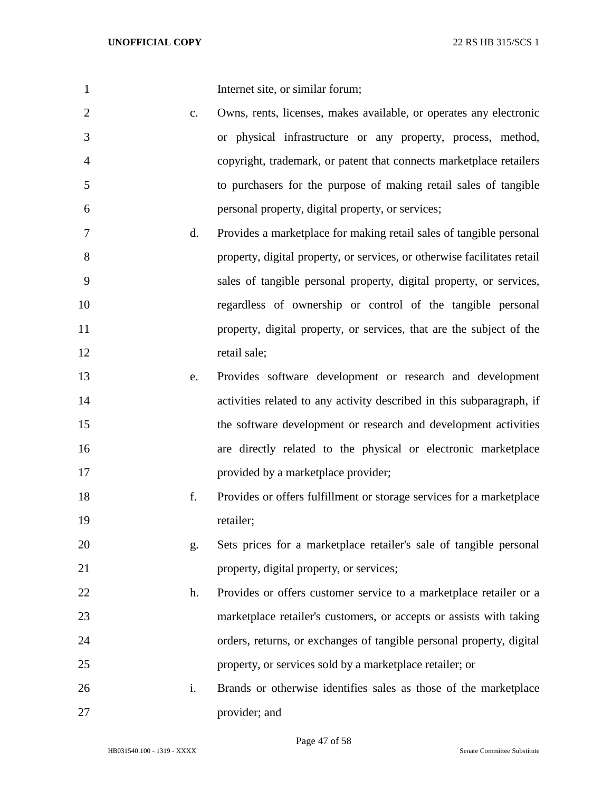| $\mathbf{1}$   |               | Internet site, or similar forum;                                         |
|----------------|---------------|--------------------------------------------------------------------------|
| $\overline{2}$ | $C_{\bullet}$ | Owns, rents, licenses, makes available, or operates any electronic       |
| 3              |               | or physical infrastructure or any property, process, method,             |
| 4              |               | copyright, trademark, or patent that connects marketplace retailers      |
| 5              |               | to purchasers for the purpose of making retail sales of tangible         |
| 6              |               | personal property, digital property, or services;                        |
| 7              | d.            | Provides a marketplace for making retail sales of tangible personal      |
| 8              |               | property, digital property, or services, or otherwise facilitates retail |
| 9              |               | sales of tangible personal property, digital property, or services,      |
| 10             |               | regardless of ownership or control of the tangible personal              |
| 11             |               | property, digital property, or services, that are the subject of the     |
| 12             |               | retail sale;                                                             |
| 13             | e.            | Provides software development or research and development                |
| 14             |               | activities related to any activity described in this subparagraph, if    |
| 15             |               | the software development or research and development activities          |
| 16             |               | are directly related to the physical or electronic marketplace           |
| 17             |               | provided by a marketplace provider;                                      |
| 18             | f.            | Provides or offers fulfillment or storage services for a marketplace     |
| 19             |               | retailer;                                                                |
| 20             | g.            | Sets prices for a marketplace retailer's sale of tangible personal       |
| 21             |               | property, digital property, or services;                                 |
| 22             | h.            | Provides or offers customer service to a marketplace retailer or a       |
| 23             |               | marketplace retailer's customers, or accepts or assists with taking      |
| 24             |               | orders, returns, or exchanges of tangible personal property, digital     |
| 25             |               | property, or services sold by a marketplace retailer; or                 |
| 26             | i.            | Brands or otherwise identifies sales as those of the marketplace         |
| 27             |               | provider; and                                                            |

Page 47 of 58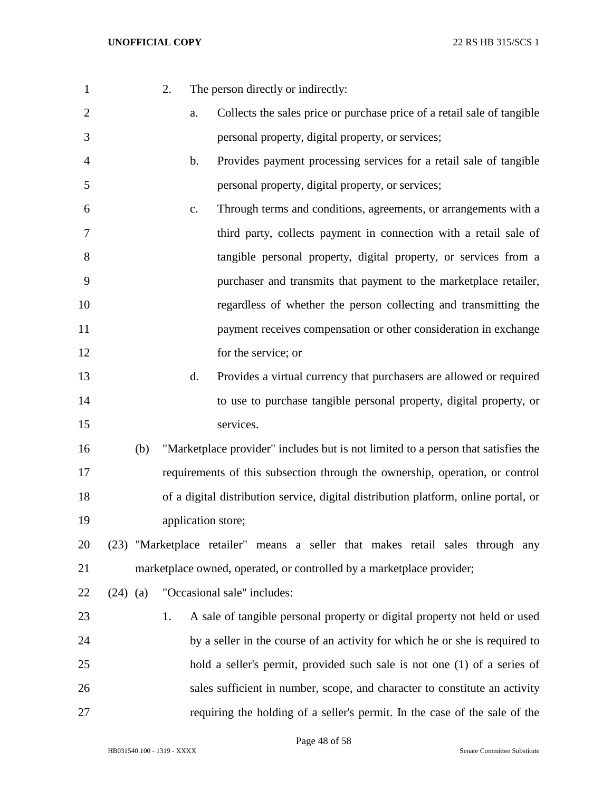| 1              |            | 2. |    | The person directly or indirectly:                                                  |
|----------------|------------|----|----|-------------------------------------------------------------------------------------|
| $\overline{2}$ |            |    | a. | Collects the sales price or purchase price of a retail sale of tangible             |
| 3              |            |    |    | personal property, digital property, or services;                                   |
| 4              |            |    | b. | Provides payment processing services for a retail sale of tangible                  |
| 5              |            |    |    | personal property, digital property, or services;                                   |
| 6              |            |    | c. | Through terms and conditions, agreements, or arrangements with a                    |
| 7              |            |    |    | third party, collects payment in connection with a retail sale of                   |
| 8              |            |    |    | tangible personal property, digital property, or services from a                    |
| 9              |            |    |    | purchaser and transmits that payment to the marketplace retailer,                   |
| 10             |            |    |    | regardless of whether the person collecting and transmitting the                    |
| 11             |            |    |    | payment receives compensation or other consideration in exchange                    |
| 12             |            |    |    | for the service; or                                                                 |
| 13             |            |    | d. | Provides a virtual currency that purchasers are allowed or required                 |
| 14             |            |    |    | to use to purchase tangible personal property, digital property, or                 |
| 15             |            |    |    | services.                                                                           |
| 16             | (b)        |    |    | "Marketplace provider" includes but is not limited to a person that satisfies the   |
| 17             |            |    |    | requirements of this subsection through the ownership, operation, or control        |
| 18             |            |    |    | of a digital distribution service, digital distribution platform, online portal, or |
| 19             |            |    |    | application store;                                                                  |
| 20             |            |    |    | (23) "Marketplace retailer" means a seller that makes retail sales through any      |
| 21             |            |    |    | marketplace owned, operated, or controlled by a marketplace provider;               |
| 22             | $(24)$ (a) |    |    | "Occasional sale" includes:                                                         |
| 23             |            | 1. |    | A sale of tangible personal property or digital property not held or used           |
| 24             |            |    |    | by a seller in the course of an activity for which he or she is required to         |
| 25             |            |    |    | hold a seller's permit, provided such sale is not one (1) of a series of            |
| 26             |            |    |    | sales sufficient in number, scope, and character to constitute an activity          |
| 27             |            |    |    | requiring the holding of a seller's permit. In the case of the sale of the          |

Page 48 of 58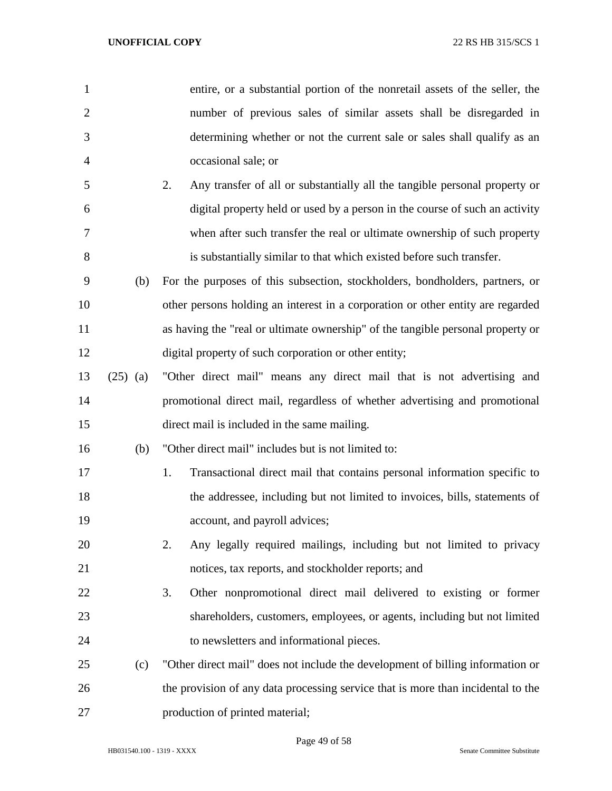| 1              |            | entire, or a substantial portion of the nonretail assets of the seller, the      |
|----------------|------------|----------------------------------------------------------------------------------|
| $\overline{2}$ |            | number of previous sales of similar assets shall be disregarded in               |
| 3              |            | determining whether or not the current sale or sales shall qualify as an         |
| $\overline{4}$ |            | occasional sale; or                                                              |
| 5              |            | 2.<br>Any transfer of all or substantially all the tangible personal property or |
| 6              |            | digital property held or used by a person in the course of such an activity      |
| 7              |            | when after such transfer the real or ultimate ownership of such property         |
| 8              |            | is substantially similar to that which existed before such transfer.             |
| 9              | (b)        | For the purposes of this subsection, stockholders, bondholders, partners, or     |
| 10             |            | other persons holding an interest in a corporation or other entity are regarded  |
| 11             |            | as having the "real or ultimate ownership" of the tangible personal property or  |
| 12             |            | digital property of such corporation or other entity;                            |
| 13             | $(25)$ (a) | "Other direct mail" means any direct mail that is not advertising and            |
| 14             |            | promotional direct mail, regardless of whether advertising and promotional       |
| 15             |            | direct mail is included in the same mailing.                                     |
| 16             | (b)        | "Other direct mail" includes but is not limited to:                              |
| 17             |            | Transactional direct mail that contains personal information specific to<br>1.   |
| 18             |            | the addressee, including but not limited to invoices, bills, statements of       |
| 19             |            | account, and payroll advices;                                                    |
| 20             |            | Any legally required mailings, including but not limited to privacy<br>2.        |
| 21             |            | notices, tax reports, and stockholder reports; and                               |
| 22             |            | 3.<br>Other nonpromotional direct mail delivered to existing or former           |
| 23             |            | shareholders, customers, employees, or agents, including but not limited         |
| 24             |            | to newsletters and informational pieces.                                         |
| 25             | (c)        | "Other direct mail" does not include the development of billing information or   |
| 26             |            | the provision of any data processing service that is more than incidental to the |
| 27             |            | production of printed material;                                                  |

Page 49 of 58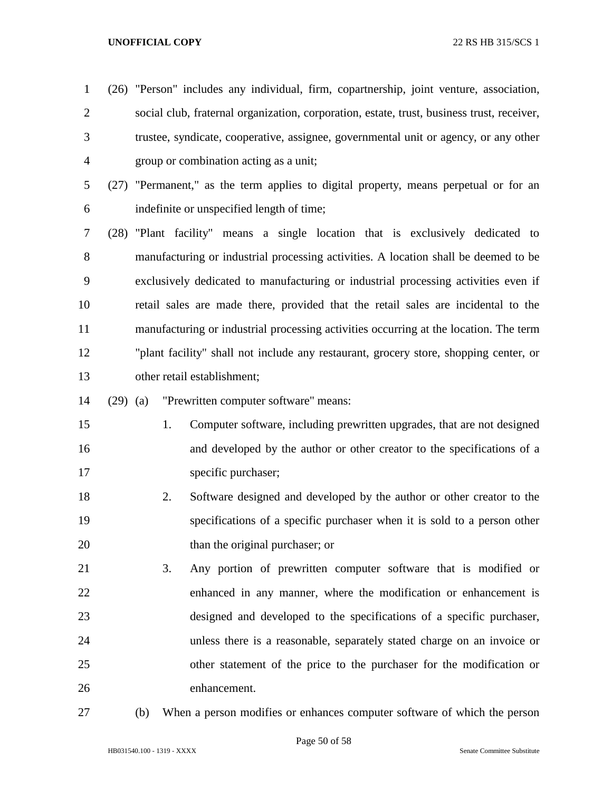- (26) "Person" includes any individual, firm, copartnership, joint venture, association, social club, fraternal organization, corporation, estate, trust, business trust, receiver, trustee, syndicate, cooperative, assignee, governmental unit or agency, or any other group or combination acting as a unit;
- (27) "Permanent," as the term applies to digital property, means perpetual or for an indefinite or unspecified length of time;
- (28) "Plant facility" means a single location that is exclusively dedicated to manufacturing or industrial processing activities. A location shall be deemed to be exclusively dedicated to manufacturing or industrial processing activities even if retail sales are made there, provided that the retail sales are incidental to the manufacturing or industrial processing activities occurring at the location. The term "plant facility" shall not include any restaurant, grocery store, shopping center, or other retail establishment;
- (29) (a) "Prewritten computer software" means:
- 1. Computer software, including prewritten upgrades, that are not designed and developed by the author or other creator to the specifications of a 17 specific purchaser;
- 2. Software designed and developed by the author or other creator to the specifications of a specific purchaser when it is sold to a person other 20 than the original purchaser; or
- 3. Any portion of prewritten computer software that is modified or enhanced in any manner, where the modification or enhancement is designed and developed to the specifications of a specific purchaser, unless there is a reasonable, separately stated charge on an invoice or other statement of the price to the purchaser for the modification or enhancement.
- 
- (b) When a person modifies or enhances computer software of which the person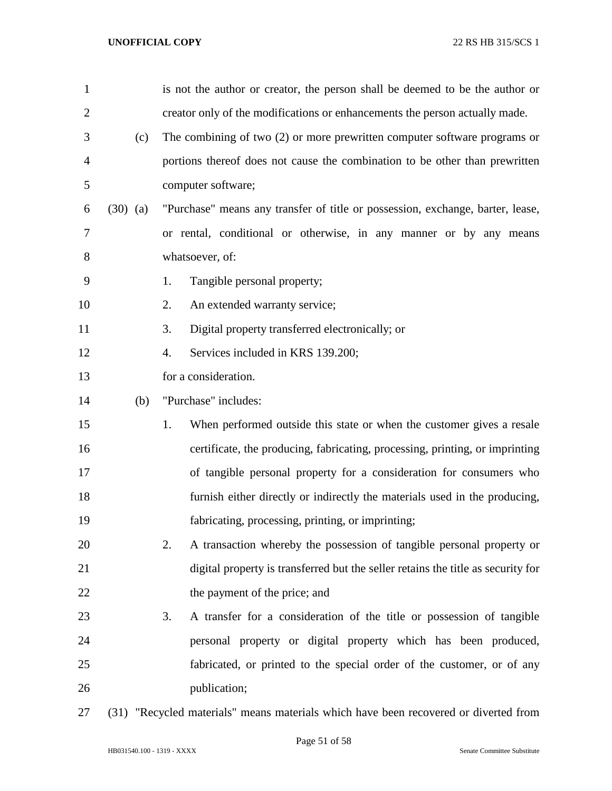| $\mathbf{1}$   |            | is not the author or creator, the person shall be deemed to be the author or         |
|----------------|------------|--------------------------------------------------------------------------------------|
| $\overline{2}$ |            | creator only of the modifications or enhancements the person actually made.          |
| 3              | (c)        | The combining of two (2) or more prewritten computer software programs or            |
| $\overline{4}$ |            | portions thereof does not cause the combination to be other than prewritten          |
| 5              |            | computer software;                                                                   |
| 6              | $(30)$ (a) | "Purchase" means any transfer of title or possession, exchange, barter, lease,       |
| 7              |            | or rental, conditional or otherwise, in any manner or by any means                   |
| 8              |            | whatsoever, of:                                                                      |
| 9              |            | Tangible personal property;<br>1.                                                    |
| 10             |            | An extended warranty service;<br>2.                                                  |
| 11             |            | Digital property transferred electronically; or<br>3.                                |
| 12             |            | Services included in KRS 139.200;<br>4.                                              |
| 13             |            | for a consideration.                                                                 |
| 14             | (b)        | "Purchase" includes:                                                                 |
| 15             |            | When performed outside this state or when the customer gives a resale<br>1.          |
| 16             |            | certificate, the producing, fabricating, processing, printing, or imprinting         |
| 17             |            | of tangible personal property for a consideration for consumers who                  |
| 18             |            | furnish either directly or indirectly the materials used in the producing,           |
| 19             |            | fabricating, processing, printing, or imprinting;                                    |
| 20             |            | A transaction whereby the possession of tangible personal property or<br>2.          |
| 21             |            | digital property is transferred but the seller retains the title as security for     |
| 22             |            | the payment of the price; and                                                        |
| 23             |            | A transfer for a consideration of the title or possession of tangible<br>3.          |
| 24             |            | personal property or digital property which has been produced,                       |
| 25             |            | fabricated, or printed to the special order of the customer, or of any               |
| 26             |            | publication;                                                                         |
| 27             |            | (31) "Recycled materials" means materials which have been recovered or diverted from |

HB031540.100 - 1319 - XXXX Senate Committee Substitute

Page 51 of 58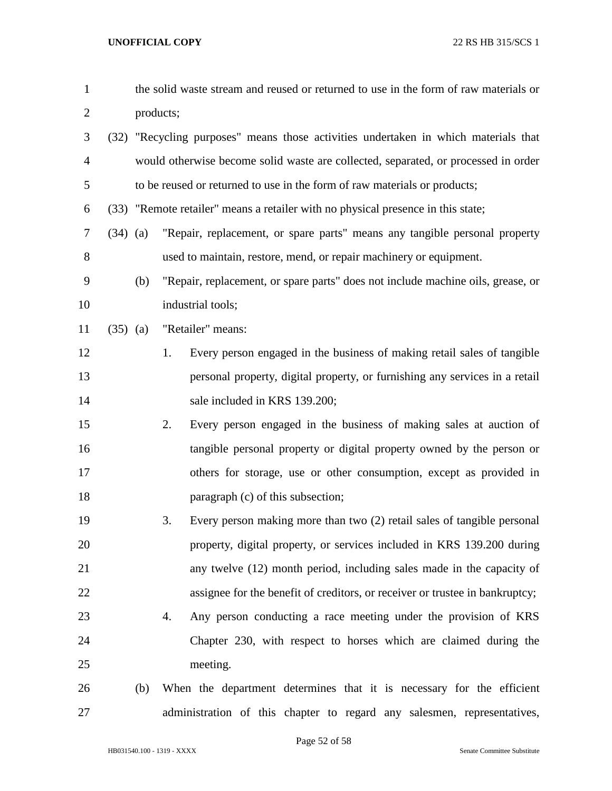| $\mathbf{1}$   |            |     | the solid waste stream and reused or returned to use in the form of raw materials or |
|----------------|------------|-----|--------------------------------------------------------------------------------------|
| $\overline{2}$ |            |     | products;                                                                            |
| 3              |            |     | (32) "Recycling purposes" means those activities undertaken in which materials that  |
| $\overline{4}$ |            |     | would otherwise become solid waste are collected, separated, or processed in order   |
| 5              |            |     | to be reused or returned to use in the form of raw materials or products;            |
| 6              |            |     | (33) "Remote retailer" means a retailer with no physical presence in this state;     |
| $\tau$         | $(34)$ (a) |     | "Repair, replacement, or spare parts" means any tangible personal property           |
| 8              |            |     | used to maintain, restore, mend, or repair machinery or equipment.                   |
| 9              |            | (b) | "Repair, replacement, or spare parts" does not include machine oils, grease, or      |
| 10             |            |     | industrial tools;                                                                    |
| 11             | $(35)$ (a) |     | "Retailer" means:                                                                    |
| 12             |            |     | Every person engaged in the business of making retail sales of tangible<br>1.        |
| 13             |            |     | personal property, digital property, or furnishing any services in a retail          |
| 14             |            |     | sale included in KRS 139.200;                                                        |
| 15             |            |     | Every person engaged in the business of making sales at auction of<br>2.             |
| 16             |            |     | tangible personal property or digital property owned by the person or                |
| 17             |            |     | others for storage, use or other consumption, except as provided in                  |
| 18             |            |     | paragraph (c) of this subsection;                                                    |
| 19             |            |     | 3.<br>Every person making more than two (2) retail sales of tangible personal        |
| 20             |            |     | property, digital property, or services included in KRS 139.200 during               |
| 21             |            |     | any twelve (12) month period, including sales made in the capacity of                |
| 22             |            |     | assignee for the benefit of creditors, or receiver or trustee in bankruptcy;         |
| 23             |            |     | Any person conducting a race meeting under the provision of KRS<br>4.                |
| 24             |            |     | Chapter 230, with respect to horses which are claimed during the                     |
| 25             |            |     | meeting.                                                                             |
| 26             |            | (b) | When the department determines that it is necessary for the efficient                |
| 27             |            |     | administration of this chapter to regard any salesmen, representatives,              |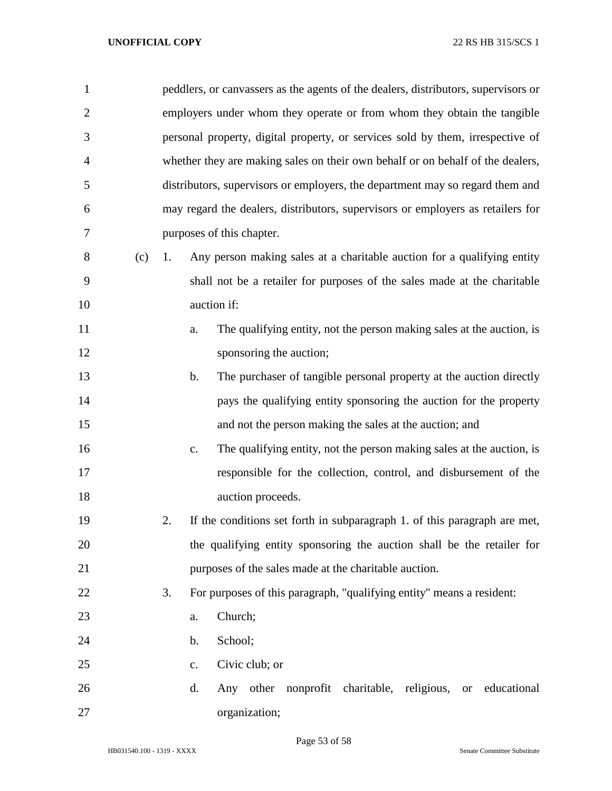| $\mathbf{1}$   |     | peddlers, or canvassers as the agents of the dealers, distributors, supervisors or   |
|----------------|-----|--------------------------------------------------------------------------------------|
| $\mathbf{2}$   |     | employers under whom they operate or from whom they obtain the tangible              |
| 3              |     | personal property, digital property, or services sold by them, irrespective of       |
| $\overline{4}$ |     | whether they are making sales on their own behalf or on behalf of the dealers,       |
| 5              |     | distributors, supervisors or employers, the department may so regard them and        |
|                |     |                                                                                      |
| 6              |     | may regard the dealers, distributors, supervisors or employers as retailers for      |
| 7              |     | purposes of this chapter.                                                            |
| 8              | (c) | Any person making sales at a charitable auction for a qualifying entity<br>1.        |
| 9              |     | shall not be a retailer for purposes of the sales made at the charitable             |
| 10             |     | auction if:                                                                          |
| 11             |     | The qualifying entity, not the person making sales at the auction, is<br>a.          |
| 12             |     | sponsoring the auction;                                                              |
| 13             |     | The purchaser of tangible personal property at the auction directly<br>$\mathbf b$ . |
| 14             |     | pays the qualifying entity sponsoring the auction for the property                   |
| 15             |     | and not the person making the sales at the auction; and                              |
| 16             |     | The qualifying entity, not the person making sales at the auction, is<br>c.          |
| 17             |     | responsible for the collection, control, and disbursement of the                     |
| 18             |     | auction proceeds.                                                                    |
| 19             |     | If the conditions set forth in subparagraph 1. of this paragraph are met,<br>2.      |
| 20             |     | the qualifying entity sponsoring the auction shall be the retailer for               |
| 21             |     | purposes of the sales made at the charitable auction.                                |
| 22             |     | 3.<br>For purposes of this paragraph, "qualifying entity" means a resident:          |
| 23             |     | Church;<br>a.                                                                        |
| 24             |     | School;<br>$\mathbf b$ .                                                             |
| 25             |     | Civic club; or<br>c.                                                                 |
| 26             |     | Any other nonprofit charitable, religious, or educational<br>d.                      |
| 27             |     | organization;                                                                        |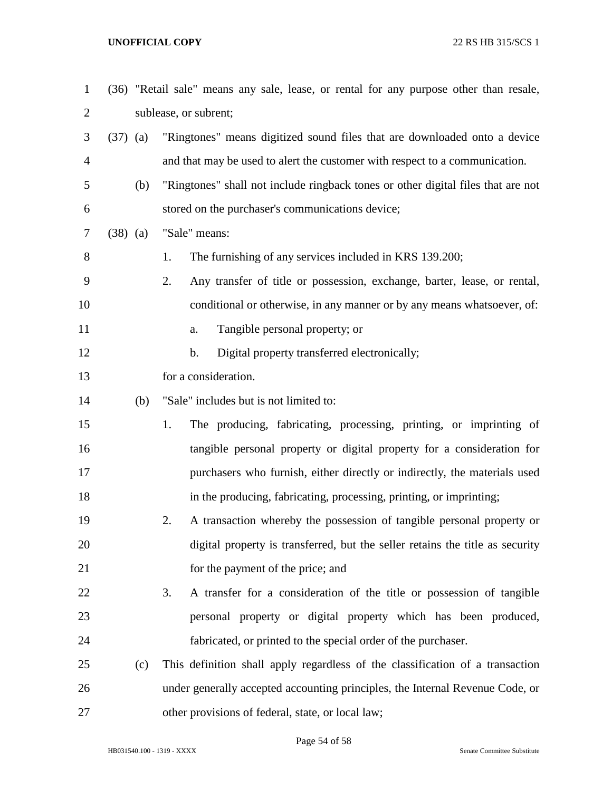| $\mathbf{1}$   |            |     | (36) "Retail sale" means any sale, lease, or rental for any purpose other than resale, |
|----------------|------------|-----|----------------------------------------------------------------------------------------|
| $\overline{c}$ |            |     | sublease, or subrent;                                                                  |
| 3              | $(37)$ (a) |     | "Ringtones" means digitized sound files that are downloaded onto a device              |
| $\overline{4}$ |            |     | and that may be used to alert the customer with respect to a communication.            |
| 5              |            | (b) | "Ringtones" shall not include ringback tones or other digital files that are not       |
| 6              |            |     | stored on the purchaser's communications device;                                       |
| 7              | $(38)$ (a) |     | "Sale" means:                                                                          |
| 8              |            |     | The furnishing of any services included in KRS 139.200;<br>1.                          |
| 9              |            |     | 2.<br>Any transfer of title or possession, exchange, barter, lease, or rental,         |
| 10             |            |     | conditional or otherwise, in any manner or by any means whatsoever, of:                |
| 11             |            |     | Tangible personal property; or<br>a.                                                   |
| 12             |            |     | Digital property transferred electronically;<br>b.                                     |
| 13             |            |     | for a consideration.                                                                   |
| 14             |            | (b) | "Sale" includes but is not limited to:                                                 |
| 15             |            |     | The producing, fabricating, processing, printing, or imprinting of<br>1.               |
| 16             |            |     | tangible personal property or digital property for a consideration for                 |
| 17             |            |     | purchasers who furnish, either directly or indirectly, the materials used              |
| 18             |            |     | in the producing, fabricating, processing, printing, or imprinting;                    |
| 19             |            |     | A transaction whereby the possession of tangible personal property or<br>2.            |
| 20             |            |     | digital property is transferred, but the seller retains the title as security          |
| 21             |            |     | for the payment of the price; and                                                      |
| 22             |            |     | A transfer for a consideration of the title or possession of tangible<br>3.            |
| 23             |            |     | personal property or digital property which has been produced,                         |
| 24             |            |     | fabricated, or printed to the special order of the purchaser.                          |
| 25             |            | (c) | This definition shall apply regardless of the classification of a transaction          |
| 26             |            |     | under generally accepted accounting principles, the Internal Revenue Code, or          |
| 27             |            |     | other provisions of federal, state, or local law;                                      |

Page 54 of 58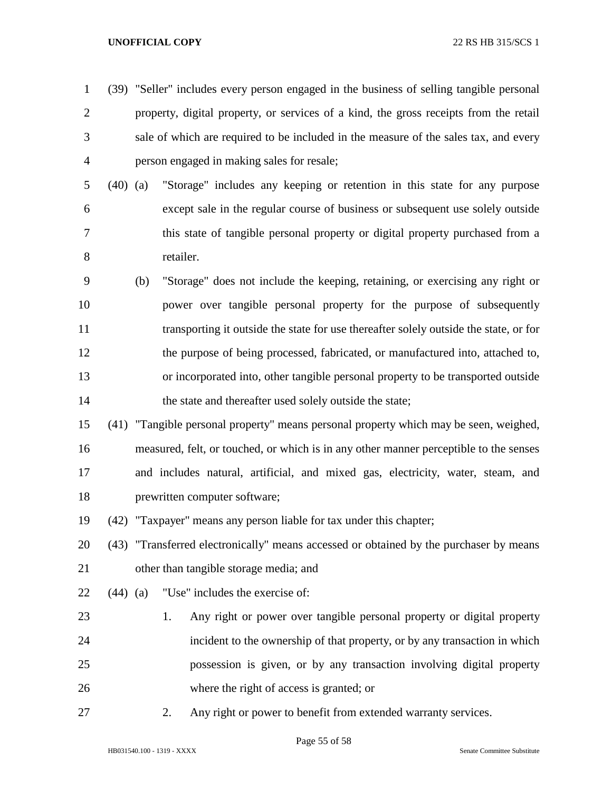- (39) "Seller" includes every person engaged in the business of selling tangible personal property, digital property, or services of a kind, the gross receipts from the retail sale of which are required to be included in the measure of the sales tax, and every person engaged in making sales for resale;
- (40) (a) "Storage" includes any keeping or retention in this state for any purpose except sale in the regular course of business or subsequent use solely outside this state of tangible personal property or digital property purchased from a retailer.
- (b) "Storage" does not include the keeping, retaining, or exercising any right or power over tangible personal property for the purpose of subsequently transporting it outside the state for use thereafter solely outside the state, or for the purpose of being processed, fabricated, or manufactured into, attached to, or incorporated into, other tangible personal property to be transported outside 14 the state and thereafter used solely outside the state;
- (41) "Tangible personal property" means personal property which may be seen, weighed, measured, felt, or touched, or which is in any other manner perceptible to the senses and includes natural, artificial, and mixed gas, electricity, water, steam, and prewritten computer software;
- (42) "Taxpayer" means any person liable for tax under this chapter;

 (43) "Transferred electronically" means accessed or obtained by the purchaser by means other than tangible storage media; and

- (44) (a) "Use" includes the exercise of:
- 1. Any right or power over tangible personal property or digital property incident to the ownership of that property, or by any transaction in which possession is given, or by any transaction involving digital property where the right of access is granted; or
- 

2. Any right or power to benefit from extended warranty services.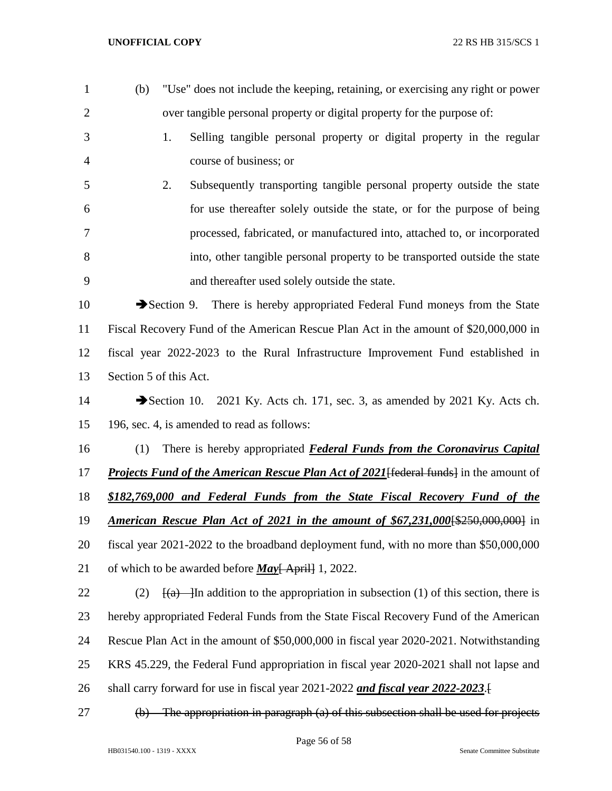| $\mathbf{1}$   | (b) | "Use" does not include the keeping, retaining, or exercising any right or power                    |
|----------------|-----|----------------------------------------------------------------------------------------------------|
| $\overline{2}$ |     | over tangible personal property or digital property for the purpose of:                            |
| 3              |     | Selling tangible personal property or digital property in the regular<br>1.                        |
| 4              |     | course of business; or                                                                             |
| 5              |     | Subsequently transporting tangible personal property outside the state<br>2.                       |
| 6              |     | for use thereafter solely outside the state, or for the purpose of being                           |
| 7              |     | processed, fabricated, or manufactured into, attached to, or incorporated                          |
| 8              |     | into, other tangible personal property to be transported outside the state                         |
| 9              |     | and thereafter used solely outside the state.                                                      |
| 10             |     | There is hereby appropriated Federal Fund moneys from the State<br>$\rightarrow$ Section 9.        |
| 11             |     | Fiscal Recovery Fund of the American Rescue Plan Act in the amount of \$20,000,000 in              |
| 12             |     | fiscal year 2022-2023 to the Rural Infrastructure Improvement Fund established in                  |
| 13             |     | Section 5 of this Act.                                                                             |
| 14             |     | Section 10. 2021 Ky. Acts ch. 171, sec. 3, as amended by 2021 Ky. Acts ch.                         |
| 15             |     | 196, sec. 4, is amended to read as follows:                                                        |
| 16             | (1) | There is hereby appropriated <b>Federal Funds from the Coronavirus Capital</b>                     |
| 17             |     | <b>Projects Fund of the American Rescue Plan Act of 2021 [federal funds]</b> in the amount of      |
| 18             |     | \$182,769,000 and Federal Funds from the State Fiscal Recovery Fund of the                         |
| 19             |     | <b>American Rescue Plan Act of 2021 in the amount of \$67,231,000 \$250,000,000</b> in             |
| 20             |     | fiscal year 2021-2022 to the broadband deployment fund, with no more than \$50,000,000             |
| 21             |     | of which to be awarded before <i>May</i> [ April] 1, 2022.                                         |
| 22             | (2) | $\frac{f(a)}{g(a)}$ - In addition to the appropriation in subsection (1) of this section, there is |
| 23             |     | hereby appropriated Federal Funds from the State Fiscal Recovery Fund of the American              |
| 24             |     | Rescue Plan Act in the amount of \$50,000,000 in fiscal year 2020-2021. Notwithstanding            |
| 25             |     | KRS 45.229, the Federal Fund appropriation in fiscal year 2020-2021 shall not lapse and            |
| 26             |     | shall carry forward for use in fiscal year 2021-2022 and fiscal year 2022-2023.                    |
| 27             | (b) | The appropriation in paragraph (a) of this subsection shall be used for projects                   |

Page 56 of 58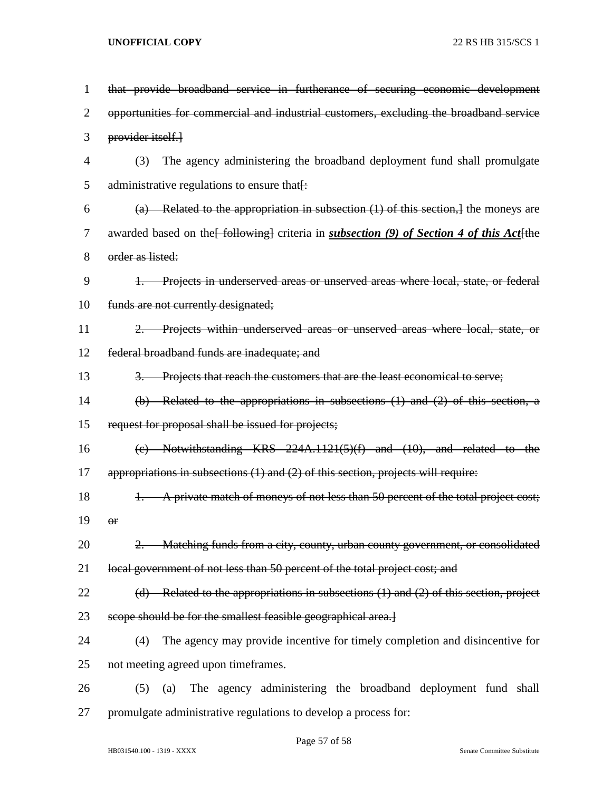| 1              | that provide broadband service in furtherance of securing economic development                   |
|----------------|--------------------------------------------------------------------------------------------------|
| $\overline{2}$ | opportunities for commercial and industrial customers, excluding the broadband service           |
| 3              | provider itself.                                                                                 |
| 4              | The agency administering the broadband deployment fund shall promulgate<br>(3)                   |
| 5              | administrative regulations to ensure that.                                                       |
| 6              | (a) Related to the appropriation in subsection $(1)$ of this section, the moneys are             |
| 7              | awarded based on the [following] criteria in <i>subsection</i> (9) of Section 4 of this Act [the |
| 8              | order as listed:                                                                                 |
| 9              | 1. Projects in underserved areas or unserved areas where local, state, or federal                |
| 10             | funds are not currently designated;                                                              |
| 11             | 2. Projects within underserved areas or unserved areas where local, state, or                    |
| 12             | federal broadband funds are inadequate; and                                                      |
| 13             | 3. Projects that reach the customers that are the least economical to serve;                     |
| 14             | $(b)$ Related to the appropriations in subsections $(1)$ and $(2)$ of this section, a            |
| 15             | request for proposal shall be issued for projects;                                               |
| 16             | (c) Notwithstanding KRS $224A.1121(5)(f)$ and $(10)$ , and related to the                        |
| 17             | appropriations in subsections $(1)$ and $(2)$ of this section, projects will require:            |
| 18             | A private match of moneys of not less than 50 percent of the total project cost;<br>$+$          |
| 19             | $\Theta$ r                                                                                       |
| 20             | 2. Matching funds from a city, county, urban county government, or consolidated                  |
| 21             | local government of not less than 50 percent of the total project cost; and                      |
| 22             | (d) Related to the appropriations in subsections $(1)$ and $(2)$ of this section, project        |
| 23             | scope should be for the smallest feasible geographical area.]                                    |
| 24             | The agency may provide incentive for timely completion and disincentive for<br>(4)               |
| 25             | not meeting agreed upon timeframes.                                                              |
| 26             | The agency administering the broadband deployment fund shall<br>(5)<br>(a)                       |
| 27             | promulgate administrative regulations to develop a process for:                                  |

## Page 57 of 58